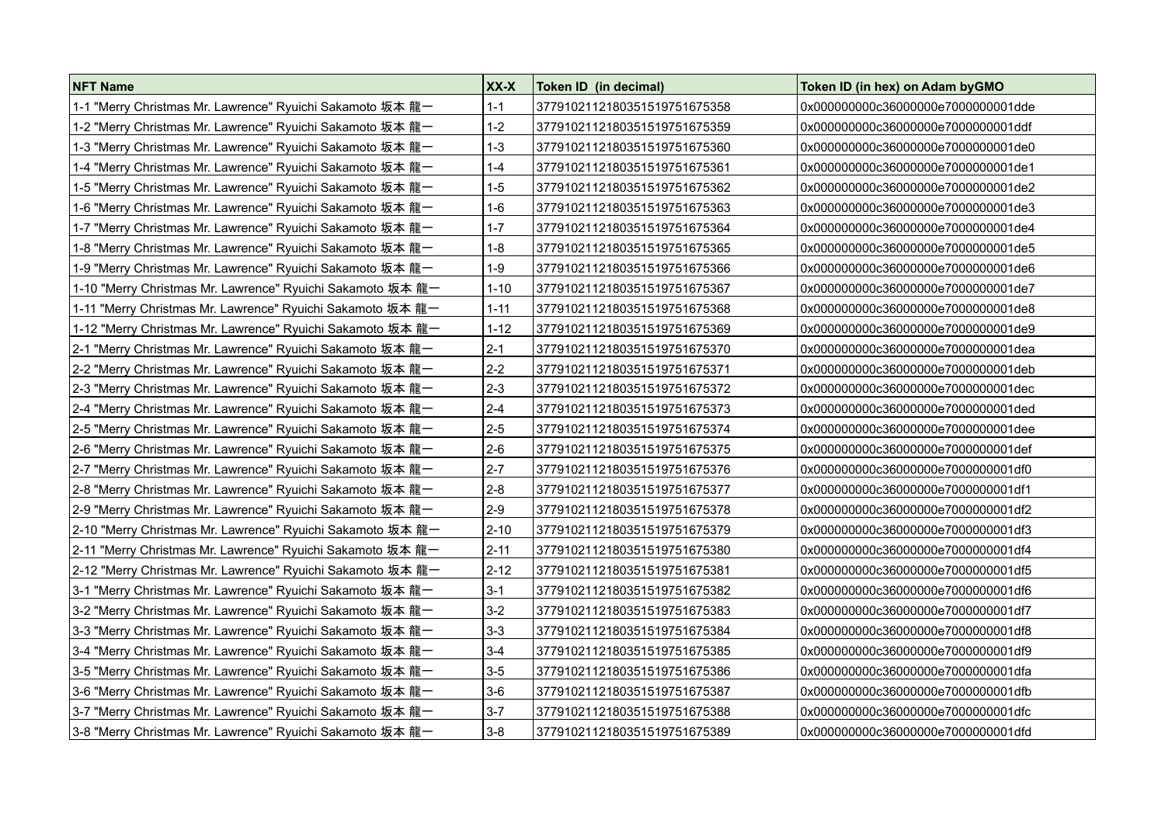| NFT Name                                                   | XX-X     | Token ID (in decimal)        | Token ID (in hex) on Adam by GMO    |
|------------------------------------------------------------|----------|------------------------------|-------------------------------------|
| 1-1 "Merry Christmas Mr. Lawrence" Ryuichi Sakamoto 坂本 龍一  | $1 - 1$  | 3779102112180351519751675358 | 0x000000000c36000000e7000000001dde  |
| 1-2 "Merry Christmas Mr. Lawrence" Ryuichi Sakamoto 坂本 龍一  | $1 - 2$  | 3779102112180351519751675359 | 0x000000000c36000000e7000000001ddf  |
| 1-3 "Merry Christmas Mr. Lawrence" Ryuichi Sakamoto 坂本 龍一  | 1-3      | 3779102112180351519751675360 | 0x000000000c36000000e7000000001de0  |
| 1-4 "Merry Christmas Mr. Lawrence" Ryuichi Sakamoto 坂本 龍一  | $1 - 4$  | 3779102112180351519751675361 | 0x000000000c36000000e7000000001de1  |
| 1-5 "Merry Christmas Mr. Lawrence" Ryuichi Sakamoto 坂本 龍一  | $1 - 5$  | 3779102112180351519751675362 | 0x000000000c36000000e7000000001de2  |
| 1-6 "Merry Christmas Mr. Lawrence" Ryuichi Sakamoto 坂本 龍一  | $1 - 6$  | 3779102112180351519751675363 | 0x000000000c36000000e7000000001de3  |
| 1-7 "Merry Christmas Mr. Lawrence" Ryuichi Sakamoto 坂本 龍一  | $1 - 7$  | 3779102112180351519751675364 | 0x000000000c36000000e7000000001de4  |
| 1-8 "Merry Christmas Mr. Lawrence" Ryuichi Sakamoto 坂本 龍一  | $1 - 8$  | 3779102112180351519751675365 | 0x000000000c36000000e7000000001de5  |
| 1-9 "Merry Christmas Mr. Lawrence" Ryuichi Sakamoto 坂本 龍一  | $1-9$    | 3779102112180351519751675366 | 0x000000000c36000000e7000000001de6  |
| 1-10 "Merry Christmas Mr. Lawrence" Ryuichi Sakamoto 坂本 龍一 | $1 - 10$ | 3779102112180351519751675367 | 0x000000000c36000000e7000000001de7  |
| 1-11 "Merry Christmas Mr. Lawrence" Ryuichi Sakamoto 坂本 龍一 | $1 - 11$ | 3779102112180351519751675368 | 0x000000000c36000000e7000000001de8  |
| 1-12 "Merry Christmas Mr. Lawrence" Ryuichi Sakamoto 坂本 龍一 | $1 - 12$ | 3779102112180351519751675369 | 0x000000000c36000000e7000000001de9  |
| 2-1 "Merry Christmas Mr. Lawrence" Ryuichi Sakamoto 坂本 龍一  | $2-1$    | 3779102112180351519751675370 | 0x000000000c36000000e7000000001dea  |
|                                                            | $2 - 2$  | 3779102112180351519751675371 | 0x000000000c36000000e7000000001deb  |
| 2-3 "Merry Christmas Mr. Lawrence" Ryuichi Sakamoto 坂本 龍一  | $2 - 3$  | 3779102112180351519751675372 | 0x000000000c36000000e7000000001dec  |
| 2-4 "Merry Christmas Mr. Lawrence" Ryuichi Sakamoto 坂本 龍一  | $2 - 4$  | 3779102112180351519751675373 | 0x000000000c36000000e7000000001ded  |
| 2-5 "Merry Christmas Mr. Lawrence" Ryuichi Sakamoto 坂本 龍一  | $2-5$    | 3779102112180351519751675374 | 0x000000000c36000000e7000000001dee  |
| 2-6 "Merry Christmas Mr. Lawrence" Ryuichi Sakamoto 坂本 龍一  | $2-6$    | 3779102112180351519751675375 | 0x000000000c36000000e7000000001def  |
| 2-7 "Merry Christmas Mr. Lawrence" Ryuichi Sakamoto 坂本 龍一  | $2-7$    | 3779102112180351519751675376 | 0x000000000c36000000e7000000001df0  |
|                                                            | $2-8$    | 3779102112180351519751675377 | 0x000000000c36000000e7000000001df1  |
| 2-9 "Merry Christmas Mr. Lawrence" Ryuichi Sakamoto 坂本 龍一  | $2-9$    | 3779102112180351519751675378 | 0x000000000c36000000e70000000001df2 |
| 2-10 "Merry Christmas Mr. Lawrence" Ryuichi Sakamoto 坂本 龍一 | $2 - 10$ | 3779102112180351519751675379 | 0x000000000c36000000e7000000001df3  |
| 2-11 "Merry Christmas Mr. Lawrence" Ryuichi Sakamoto 坂本 龍一 | $2 - 11$ | 3779102112180351519751675380 | 0x000000000c36000000e7000000001df4  |
|                                                            | $2 - 12$ | 3779102112180351519751675381 | 0x000000000c36000000e7000000001df5  |
| 3-1 "Merry Christmas Mr. Lawrence" Ryuichi Sakamoto 坂本 龍一  | $3-1$    | 3779102112180351519751675382 | 0x000000000c36000000e7000000001df6  |
| 3-2 "Merry Christmas Mr. Lawrence" Ryuichi Sakamoto 坂本 龍一  | $3-2$    | 3779102112180351519751675383 | 0x000000000c36000000e7000000001df7  |
| 3-3 "Merry Christmas Mr. Lawrence" Ryuichi Sakamoto 坂本 龍一  | $3-3$    | 3779102112180351519751675384 | 0x000000000c36000000e7000000001df8  |
| 3-4 "Merry Christmas Mr. Lawrence" Ryuichi Sakamoto 坂本 龍一  | $3-4$    | 3779102112180351519751675385 | 0x000000000c36000000e7000000001df9  |
| 3-5 "Merry Christmas Mr. Lawrence" Ryuichi Sakamoto 坂本 龍一  | $3-5$    | 3779102112180351519751675386 | 0x000000000c36000000e7000000001dfa  |
| 3-6 "Merry Christmas Mr. Lawrence" Ryuichi Sakamoto 坂本 龍一  | $3-6$    | 3779102112180351519751675387 | 0x000000000c36000000e7000000001dfb  |
| 3-7 "Merry Christmas Mr. Lawrence" Ryuichi Sakamoto 坂本 龍一  | $3-7$    | 3779102112180351519751675388 | 0x000000000c36000000e7000000001dfc  |
| 3-8 "Merry Christmas Mr. Lawrence" Ryuichi Sakamoto 坂本 龍一  | $3-8$    | 3779102112180351519751675389 | 0x000000000c36000000e70000000001dfd |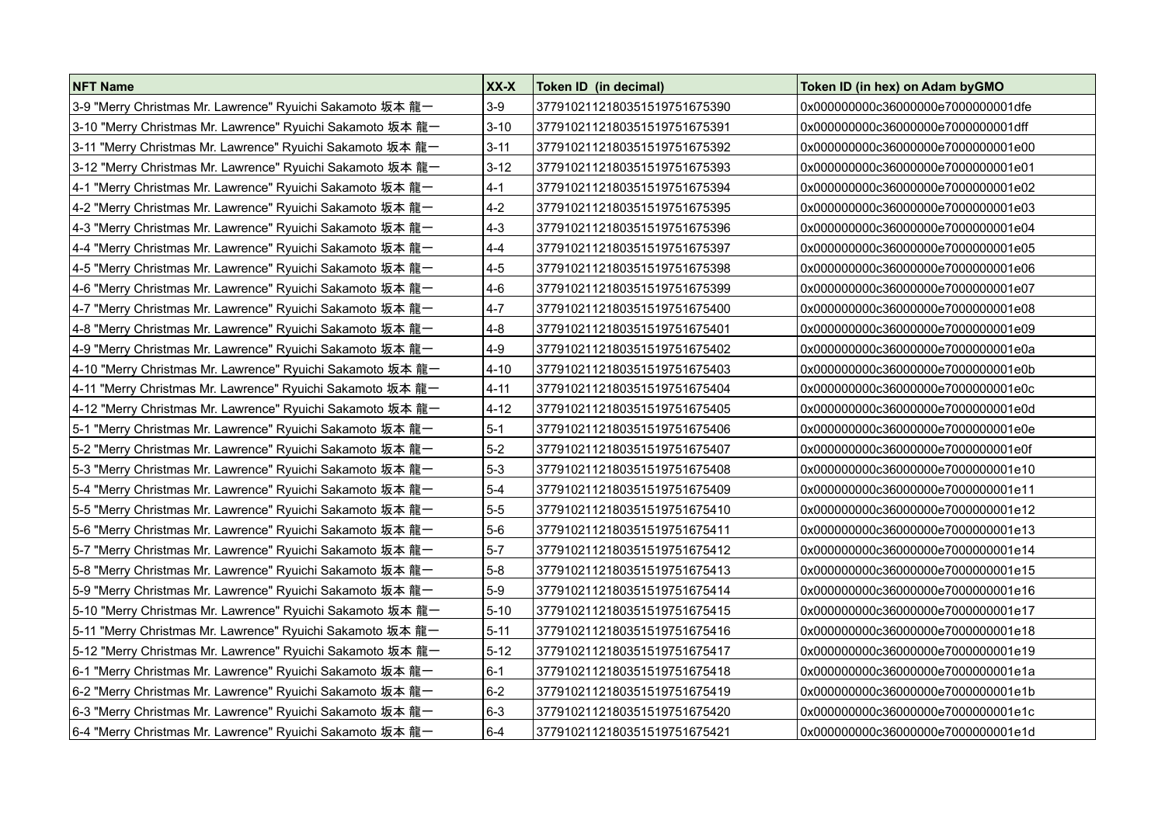| NFT Name                                                   | XX-X     | Token ID (in decimal)        | Token ID (in hex) on Adam by GMO   |
|------------------------------------------------------------|----------|------------------------------|------------------------------------|
|                                                            | $3-9$    | 3779102112180351519751675390 | 0x000000000c36000000e7000000001dfe |
| 3-10 "Merry Christmas Mr. Lawrence" Ryuichi Sakamoto 坂本 龍一 | $3 - 10$ | 3779102112180351519751675391 | 0x000000000c36000000e7000000001dff |
| 3-11 "Merry Christmas Mr. Lawrence" Ryuichi Sakamoto 坂本 龍一 | $3 - 11$ | 3779102112180351519751675392 | 0x000000000c36000000e7000000001e00 |
| 3-12 "Merry Christmas Mr. Lawrence" Ryuichi Sakamoto 坂本 龍一 | $3 - 12$ | 3779102112180351519751675393 | 0x000000000c36000000e7000000001e01 |
| 4-1 "Merry Christmas Mr. Lawrence" Ryuichi Sakamoto 坂本 龍一  | $4-1$    | 3779102112180351519751675394 | 0x000000000c36000000e7000000001e02 |
|                                                            | $4 - 2$  | 3779102112180351519751675395 | 0x000000000c36000000e7000000001e03 |
| 4-3 "Merry Christmas Mr. Lawrence" Ryuichi Sakamoto 坂本 龍一  | $4-3$    | 3779102112180351519751675396 | 0x000000000c36000000e7000000001e04 |
| 4-4 "Merry Christmas Mr. Lawrence" Ryuichi Sakamoto 坂本 龍一  | $4 - 4$  | 3779102112180351519751675397 | 0x000000000c36000000e7000000001e05 |
| 4-5 "Merry Christmas Mr. Lawrence" Ryuichi Sakamoto 坂本 龍一  | $4-5$    | 3779102112180351519751675398 | 0x000000000c36000000e7000000001e06 |
| 4-6 "Merry Christmas Mr. Lawrence" Ryuichi Sakamoto 坂本 龍一  | $4-6$    | 3779102112180351519751675399 | 0x000000000c36000000e7000000001e07 |
|                                                            | $4-7$    | 3779102112180351519751675400 | 0x000000000c36000000e7000000001e08 |
| 4-8 "Merry Christmas Mr. Lawrence" Ryuichi Sakamoto 坂本 龍一  | $4 - 8$  | 3779102112180351519751675401 | 0x000000000c36000000e7000000001e09 |
| 4-9 "Merry Christmas Mr. Lawrence" Ryuichi Sakamoto 坂本 龍一  | $4-9$    | 3779102112180351519751675402 | 0x000000000c36000000e7000000001e0a |
| 4-10 "Merry Christmas Mr. Lawrence" Ryuichi Sakamoto 坂本 龍一 | $4 - 10$ | 3779102112180351519751675403 | 0x000000000c36000000e7000000001e0b |
| 4-11 "Merry Christmas Mr. Lawrence" Ryuichi Sakamoto 坂本 龍一 | $4 - 11$ | 3779102112180351519751675404 | 0x000000000c36000000e7000000001e0c |
|                                                            | $4 - 12$ | 3779102112180351519751675405 | 0x000000000c36000000e7000000001e0d |
| 5-1 "Merry Christmas Mr. Lawrence" Ryuichi Sakamoto 坂本 龍一  | $5-1$    | 3779102112180351519751675406 | 0x000000000c36000000e7000000001e0e |
| 5-2 "Merry Christmas Mr. Lawrence" Ryuichi Sakamoto 坂本 龍一  | $5-2$    | 3779102112180351519751675407 | 0x000000000c36000000e7000000001e0f |
| 5-3 "Merry Christmas Mr. Lawrence" Ryuichi Sakamoto 坂本 龍一  | $5-3$    | 3779102112180351519751675408 | 0x000000000c36000000e7000000001e10 |
| 5-4 "Merry Christmas Mr. Lawrence" Ryuichi Sakamoto 坂本 龍一  | $5-4$    | 3779102112180351519751675409 | 0x000000000c36000000e7000000001e11 |
| 5-5 "Merry Christmas Mr. Lawrence" Ryuichi Sakamoto 坂本 龍一  | $5 - 5$  | 3779102112180351519751675410 | 0x000000000c36000000e7000000001e12 |
| 5-6 "Merry Christmas Mr. Lawrence" Ryuichi Sakamoto 坂本 龍一  | $5-6$    | 3779102112180351519751675411 | 0x000000000c36000000e7000000001e13 |
| 5-7 "Merry Christmas Mr. Lawrence" Ryuichi Sakamoto 坂本 龍一  | $5-7$    | 3779102112180351519751675412 | 0x000000000c36000000e7000000001e14 |
| 5-8 "Merry Christmas Mr. Lawrence" Ryuichi Sakamoto 坂本 龍一  | $5-8$    | 3779102112180351519751675413 | 0x000000000c36000000e7000000001e15 |
| 5-9 "Merry Christmas Mr. Lawrence" Ryuichi Sakamoto 坂本 龍一  | $5-9$    | 3779102112180351519751675414 | 0x000000000c36000000e7000000001e16 |
| 5-10 "Merry Christmas Mr. Lawrence" Ryuichi Sakamoto 坂本 龍一 | $5 - 10$ | 3779102112180351519751675415 | 0x000000000c36000000e7000000001e17 |
| 5-11 "Merry Christmas Mr. Lawrence" Ryuichi Sakamoto 坂本 龍一 | $5 - 11$ | 3779102112180351519751675416 | 0x000000000c36000000e7000000001e18 |
| 5-12 "Merry Christmas Mr. Lawrence" Ryuichi Sakamoto 坂本 龍一 | $5 - 12$ | 3779102112180351519751675417 | 0x000000000c36000000e7000000001e19 |
| 6-1 "Merry Christmas Mr. Lawrence" Ryuichi Sakamoto 坂本 龍一  | $6 - 1$  | 3779102112180351519751675418 | 0x000000000c36000000e7000000001e1a |
| 6-2 "Merry Christmas Mr. Lawrence" Ryuichi Sakamoto 坂本 龍一  | $6-2$    | 3779102112180351519751675419 | 0x000000000c36000000e7000000001e1b |
| 6-3 "Merry Christmas Mr. Lawrence" Ryuichi Sakamoto 坂本 龍一  | $6-3$    | 3779102112180351519751675420 | 0x000000000c36000000e7000000001e1c |
| 6-4 "Merry Christmas Mr. Lawrence" Ryuichi Sakamoto 坂本 龍一  | $6-4$    | 3779102112180351519751675421 | 0x000000000c36000000e7000000001e1d |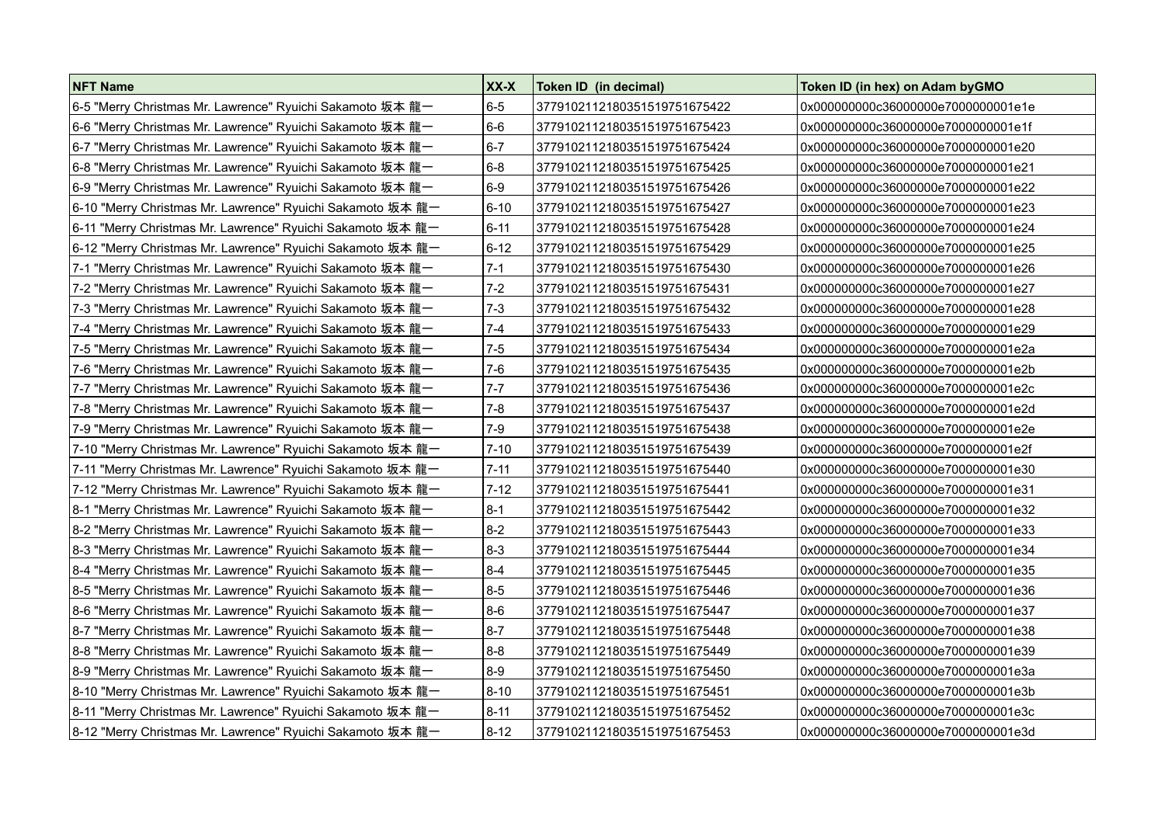| NFT Name                                                   | XX-X       | Token ID (in decimal)        | Token ID (in hex) on Adam by GMO   |
|------------------------------------------------------------|------------|------------------------------|------------------------------------|
| 6-5 "Merry Christmas Mr. Lawrence" Ryuichi Sakamoto 坂本 龍一  | $6-5$      | 3779102112180351519751675422 | 0x000000000c36000000e7000000001e1e |
|                                                            | $6-6$      | 3779102112180351519751675423 | 0x000000000c36000000e7000000001e1f |
| 6-7 "Merry Christmas Mr. Lawrence" Ryuichi Sakamoto 坂本 龍一  | $6-7$      | 3779102112180351519751675424 | 0x000000000c36000000e7000000001e20 |
| 6-8 "Merry Christmas Mr. Lawrence" Ryuichi Sakamoto 坂本 龍一  | $6-8$      | 3779102112180351519751675425 | 0x000000000c36000000e7000000001e21 |
|                                                            | $6-9$      | 3779102112180351519751675426 | 0x000000000c36000000e7000000001e22 |
| 6-10 "Merry Christmas Mr. Lawrence" Ryuichi Sakamoto 坂本 龍一 | $6 - 10$   | 3779102112180351519751675427 | 0x000000000c36000000e7000000001e23 |
| 6-11 "Merry Christmas Mr. Lawrence" Ryuichi Sakamoto 坂本 龍一 | $ 6 - 11 $ | 3779102112180351519751675428 | 0x000000000c36000000e7000000001e24 |
| 6-12 "Merry Christmas Mr. Lawrence" Ryuichi Sakamoto 坂本 龍一 | $6 - 12$   | 3779102112180351519751675429 | 0x000000000c36000000e7000000001e25 |
| 7-1 "Merry Christmas Mr. Lawrence" Ryuichi Sakamoto 坂本 龍一  | $7 - 1$    | 3779102112180351519751675430 | 0x000000000c36000000e7000000001e26 |
| 7-2 "Merry Christmas Mr. Lawrence" Ryuichi Sakamoto 坂本 龍一  | $7 - 2$    | 3779102112180351519751675431 | 0x000000000c36000000e7000000001e27 |
| 7-3 "Merry Christmas Mr. Lawrence" Ryuichi Sakamoto 坂本 龍一  | $7 - 3$    | 3779102112180351519751675432 | 0x000000000c36000000e7000000001e28 |
| 7-4 "Merry Christmas Mr. Lawrence" Ryuichi Sakamoto 坂本 龍一  | $7 - 4$    | 3779102112180351519751675433 | 0x000000000c36000000e7000000001e29 |
| 7-5 "Merry Christmas Mr. Lawrence" Ryuichi Sakamoto 坂本 龍一  | $7 - 5$    | 3779102112180351519751675434 | 0x000000000c36000000e7000000001e2a |
| 7-6 "Merry Christmas Mr. Lawrence" Ryuichi Sakamoto 坂本 龍一  | $7-6$      | 3779102112180351519751675435 | 0x000000000c36000000e7000000001e2b |
| 7-7 "Merry Christmas Mr. Lawrence" Ryuichi Sakamoto 坂本 龍一  | $7 - 7$    | 3779102112180351519751675436 | 0x000000000c36000000e7000000001e2c |
|                                                            | $7 - 8$    | 3779102112180351519751675437 | 0x000000000c36000000e7000000001e2d |
| 7-9 "Merry Christmas Mr. Lawrence" Ryuichi Sakamoto 坂本 龍一  | $7-9$      | 3779102112180351519751675438 | 0x000000000c36000000e7000000001e2e |
| 7-10 "Merry Christmas Mr. Lawrence" Ryuichi Sakamoto 坂本 龍一 | $7 - 10$   | 3779102112180351519751675439 | 0x000000000c36000000e7000000001e2f |
| 7-11 "Merry Christmas Mr. Lawrence" Ryuichi Sakamoto 坂本 龍一 | $7 - 11$   | 3779102112180351519751675440 | 0x000000000c36000000e7000000001e30 |
| 7-12 "Merry Christmas Mr. Lawrence" Ryuichi Sakamoto 坂本 龍一 | $7 - 12$   | 3779102112180351519751675441 | 0x000000000c36000000e7000000001e31 |
| 8-1 "Merry Christmas Mr. Lawrence" Ryuichi Sakamoto 坂本 龍一  | $8-1$      | 3779102112180351519751675442 | 0x000000000c36000000e7000000001e32 |
| 8-2 "Merry Christmas Mr. Lawrence" Ryuichi Sakamoto 坂本 龍一  | $8-2$      | 3779102112180351519751675443 | 0x000000000c36000000e7000000001e33 |
| 8-3 "Merry Christmas Mr. Lawrence" Ryuichi Sakamoto 坂本 龍一  | $8-3$      | 3779102112180351519751675444 | 0x000000000c36000000e7000000001e34 |
| 8-4 "Merry Christmas Mr. Lawrence" Ryuichi Sakamoto 坂本 龍一  | $8-4$      | 3779102112180351519751675445 | 0x000000000c36000000e7000000001e35 |
| 8-5 "Merry Christmas Mr. Lawrence" Ryuichi Sakamoto 坂本 龍一  | $8-5$      | 3779102112180351519751675446 | 0x000000000c36000000e7000000001e36 |
| 8-6 "Merry Christmas Mr. Lawrence" Ryuichi Sakamoto 坂本 龍一  | $8-6$      | 3779102112180351519751675447 | 0x000000000c36000000e7000000001e37 |
| 8-7 "Merry Christmas Mr. Lawrence" Ryuichi Sakamoto 坂本 龍一  | $8-7$      | 3779102112180351519751675448 | 0x000000000c36000000e7000000001e38 |
| 8-8 "Merry Christmas Mr. Lawrence" Ryuichi Sakamoto 坂本 龍一  | $8-8$      | 3779102112180351519751675449 | 0x000000000c36000000e7000000001e39 |
| 8-9 "Merry Christmas Mr. Lawrence" Ryuichi Sakamoto 坂本 龍一  | $8-9$      | 3779102112180351519751675450 | 0x000000000c36000000e7000000001e3a |
| 8-10 "Merry Christmas Mr. Lawrence" Ryuichi Sakamoto 坂本 龍一 | $8 - 10$   | 3779102112180351519751675451 | 0x000000000c36000000e7000000001e3b |
| 8-11 "Merry Christmas Mr. Lawrence" Ryuichi Sakamoto 坂本 龍一 | $8 - 11$   | 3779102112180351519751675452 | 0x000000000c36000000e7000000001e3c |
| 8-12 "Merry Christmas Mr. Lawrence" Ryuichi Sakamoto 坂本 龍一 | $8 - 12$   | 3779102112180351519751675453 | 0x000000000c36000000e7000000001e3d |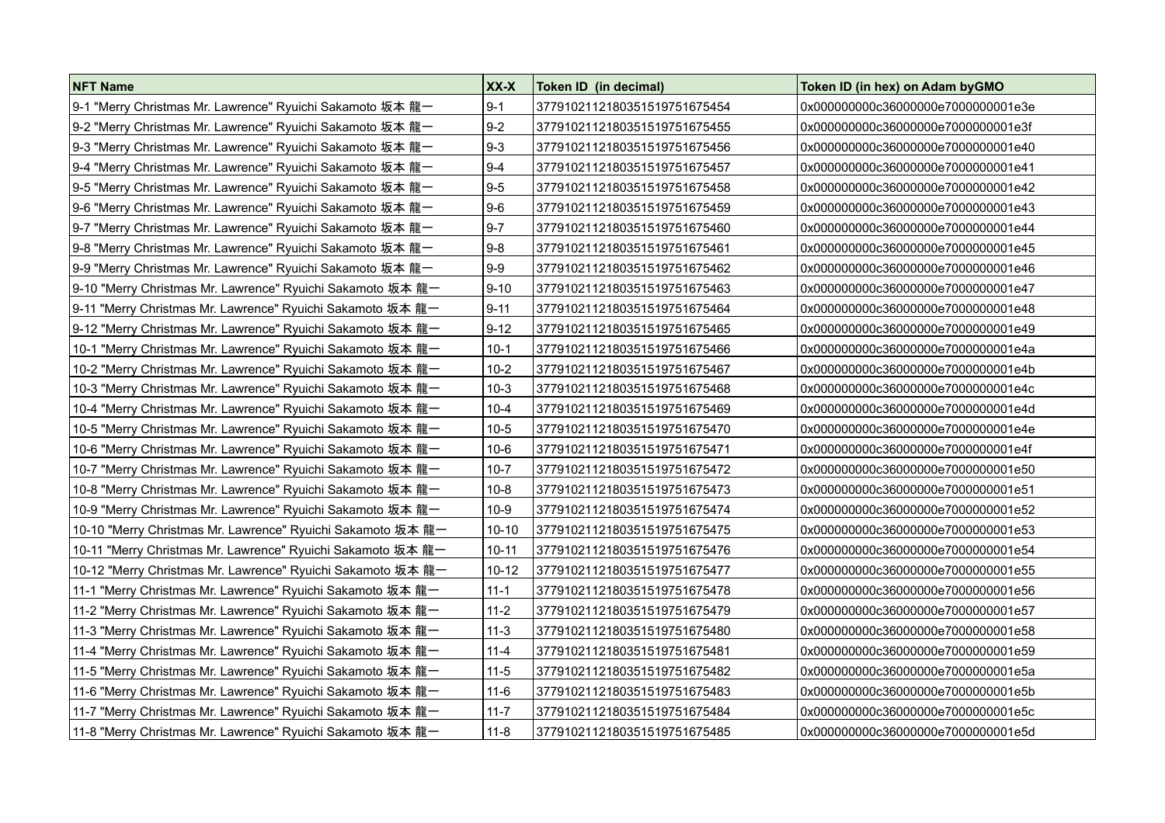| <b>NFT Name</b>                                             | XX-X      | Token ID (in decimal)                | Token ID (in hex) on Adam byGMO    |
|-------------------------------------------------------------|-----------|--------------------------------------|------------------------------------|
| 9-1 "Merry Christmas Mr. Lawrence" Ryuichi Sakamoto 坂本 龍一   | $9-1$     | 3779102112180351519751675454         | 0x000000000c36000000e7000000001e3e |
| 9-2 "Merry Christmas Mr. Lawrence" Ryuichi Sakamoto 坂本 龍一   | $9-2$     | 3779102112180351519751675455         | 0x000000000c36000000e7000000001e3f |
| 9-3 "Merry Christmas Mr. Lawrence" Ryuichi Sakamoto 坂本 龍一   | $9-3$     | 3779102112180351519751675456         | 0x000000000c36000000e7000000001e40 |
| 9-4 "Merry Christmas Mr. Lawrence" Ryuichi Sakamoto 坂本 龍一   | $9 - 4$   | 3779102112180351519751675457         | 0x000000000c36000000e7000000001e41 |
| 9-5 "Merry Christmas Mr. Lawrence" Ryuichi Sakamoto 坂本 龍一   | $9-5$     | 3779102112180351519751675458         | 0x000000000c36000000e7000000001e42 |
| 9-6 "Merry Christmas Mr. Lawrence" Ryuichi Sakamoto 坂本 龍一   | $9-6$     | 3779102112180351519751675459         | 0x000000000c36000000e7000000001e43 |
| 9-7 "Merry Christmas Mr. Lawrence" Ryuichi Sakamoto 坂本 龍一   | $9 - 7$   | 3779102112180351519751675460         | 0x000000000c36000000e7000000001e44 |
| 9-8 "Merry Christmas Mr. Lawrence" Ryuichi Sakamoto 坂本 龍一   | $9-8$     | 3779102112180351519751675461         | 0x000000000c36000000e7000000001e45 |
|                                                             | $9-9$     | 3779102112180351519751675462         | 0x000000000c36000000e7000000001e46 |
| 9-10 "Merry Christmas Mr. Lawrence" Ryuichi Sakamoto 坂本 龍一  | $9 - 10$  | 3779102112180351519751675463         | 0x000000000c36000000e7000000001e47 |
| 9-11 "Merry Christmas Mr. Lawrence" Ryuichi Sakamoto 坂本 龍一  | $9 - 11$  | 3779102112180351519751675464         | 0x000000000c36000000e7000000001e48 |
| 9-12 "Merry Christmas Mr. Lawrence" Ryuichi Sakamoto 坂本 龍一  | $9 - 12$  | 3779102112180351519751675465         | 0x000000000c36000000e7000000001e49 |
| 10-1 "Merry Christmas Mr. Lawrence" Ryuichi Sakamoto 坂本 龍一  | $10-1$    | 3779102112180351519751675466         | 0x000000000c36000000e7000000001e4a |
| 10-2 "Merry Christmas Mr. Lawrence" Ryuichi Sakamoto 坂本 龍一  | $10 - 2$  | 3779102112180351519751675467         | 0x000000000c36000000e7000000001e4b |
| 10-3 "Merry Christmas Mr. Lawrence" Ryuichi Sakamoto 坂本 龍一  | $10-3$    | 3779102112180351519751675468         | 0x000000000c36000000e7000000001e4c |
| 10-4 "Merry Christmas Mr. Lawrence" Ryuichi Sakamoto 坂本 龍一  | $10 - 4$  | 3779102112180351519751675469         | 0x000000000c36000000e7000000001e4d |
| 10-5 "Merry Christmas Mr. Lawrence" Ryuichi Sakamoto 坂本 龍一  | $10-5$    | 3779102112180351519751675470         | 0x000000000c36000000e7000000001e4e |
| 10-6 "Merry Christmas Mr. Lawrence" Ryuichi Sakamoto 坂本 龍一  | 10-6      | 3779102112180351519751675471         | 0x000000000c36000000e7000000001e4f |
| 10-7 "Merry Christmas Mr. Lawrence" Ryuichi Sakamoto 坂本 龍一  | $10 - 7$  | 3779102112180351519751675472         | 0x000000000c36000000e7000000001e50 |
| 10-8 "Merry Christmas Mr. Lawrence" Ryuichi Sakamoto 坂本 龍一  | $10 - 8$  | 3779102112180351519751675473         | 0x000000000c36000000e7000000001e51 |
| 10-9 "Merry Christmas Mr. Lawrence" Ryuichi Sakamoto 坂本 龍一  | 10-9      | 3779102112180351519751675474         | 0x000000000c36000000e7000000001e52 |
| 10-10 "Merry Christmas Mr. Lawrence" Ryuichi Sakamoto 坂本 龍一 | 10-10     | 3779102112180351519751675475         | 0x000000000c36000000e7000000001e53 |
| 10-11 "Merry Christmas Mr. Lawrence" Ryuichi Sakamoto 坂本 龍一 | $10 - 11$ | 3779102112180351519751675476         | 0x000000000c36000000e7000000001e54 |
| 10-12 "Merry Christmas Mr. Lawrence" Ryuichi Sakamoto 坂本 龍一 | $10 - 12$ | 37791021121803515 <u>19751675477</u> | 0x000000000c36000000e7000000001e55 |
| 11-1 "Merry Christmas Mr. Lawrence" Ryuichi Sakamoto 坂本 龍一  | $11 - 1$  | 3779102112180351519751675478         | 0x000000000c36000000e7000000001e56 |
| 11-2 "Merry Christmas Mr. Lawrence" Ryuichi Sakamoto 坂本 龍一  | $11 - 2$  | 3779102112180351519751675479         | 0x000000000c36000000e7000000001e57 |
| 11-3 "Merry Christmas Mr. Lawrence" Ryuichi Sakamoto 坂本 龍一  | $11 - 3$  | 3779102112180351519751675480         | 0x000000000c36000000e7000000001e58 |
| 11-4 "Merry Christmas Mr. Lawrence" Ryuichi Sakamoto 坂本 龍一  | $11 - 4$  | 3779102112180351519751675481         | 0x000000000c36000000e7000000001e59 |
| 11-5 "Merry Christmas Mr. Lawrence" Ryuichi Sakamoto 坂本 龍一  | $11 - 5$  | 3779102112180351519751675482         | 0x000000000c36000000e7000000001e5a |
| 11-6 "Merry Christmas Mr. Lawrence" Ryuichi Sakamoto 坂本 龍一  | $11 - 6$  | 3779102112180351519751675483         | 0x000000000c36000000e7000000001e5b |
| 11-7 "Merry Christmas Mr. Lawrence" Ryuichi Sakamoto 坂本 龍一  | $11 - 7$  | 3779102112180351519751675484         | 0x000000000c36000000e7000000001e5c |
| 11-8 "Merry Christmas Mr. Lawrence" Ryuichi Sakamoto 坂本 龍一  | $11 - 8$  | 3779102112180351519751675485         | 0x000000000c36000000e7000000001e5d |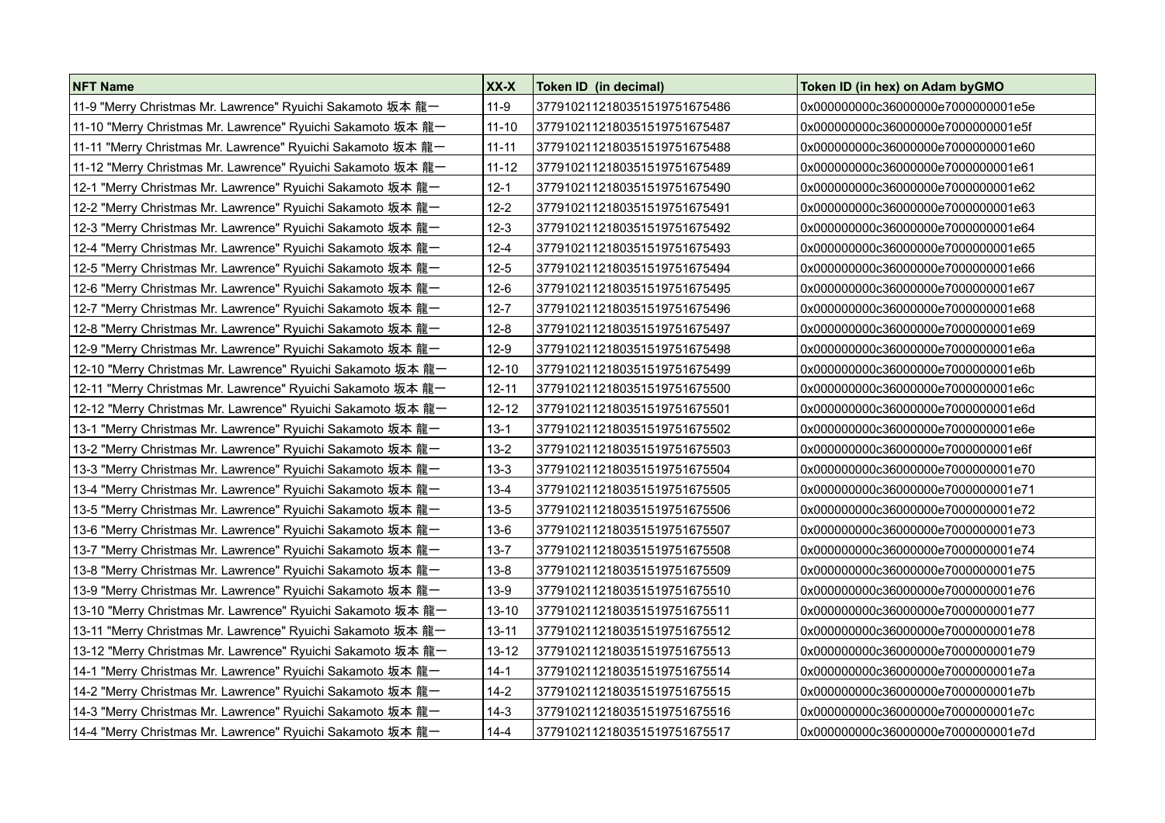| <b>NFT Name</b>                                             | XX-X      | Token ID (in decimal)        | Token ID (in hex) on Adam by GMO   |
|-------------------------------------------------------------|-----------|------------------------------|------------------------------------|
|                                                             | $11-9$    | 3779102112180351519751675486 | 0x000000000c36000000e7000000001e5e |
| 11-10 "Merry Christmas Mr. Lawrence" Ryuichi Sakamoto 坂本 龍一 | $11 - 10$ | 3779102112180351519751675487 | 0x000000000c36000000e7000000001e5f |
| 11-11 "Merry Christmas Mr. Lawrence" Ryuichi Sakamoto 坂本 龍一 | $11 - 11$ | 3779102112180351519751675488 | 0x000000000c36000000e7000000001e60 |
| 11-12 "Merry Christmas Mr. Lawrence" Ryuichi Sakamoto 坂本 龍一 | $11 - 12$ | 3779102112180351519751675489 | 0x000000000c36000000e7000000001e61 |
| 12-1 "Merry Christmas Mr. Lawrence" Ryuichi Sakamoto 坂本 龍一  | $12 - 1$  | 3779102112180351519751675490 | 0x000000000c36000000e7000000001e62 |
| 12-2 "Merry Christmas Mr. Lawrence" Ryuichi Sakamoto 坂本 龍一  | $12 - 2$  | 3779102112180351519751675491 | 0x000000000c36000000e7000000001e63 |
| 12-3 "Merry Christmas Mr. Lawrence" Ryuichi Sakamoto 坂本 龍一  | $12-3$    | 3779102112180351519751675492 | 0x000000000c36000000e7000000001e64 |
| 12-4 "Merry Christmas Mr. Lawrence" Ryuichi Sakamoto 坂本 龍一  | $12 - 4$  | 3779102112180351519751675493 | 0x000000000c36000000e7000000001e65 |
| 12-5 "Merry Christmas Mr. Lawrence" Ryuichi Sakamoto 坂本 龍一  | $12 - 5$  | 3779102112180351519751675494 | 0x000000000c36000000e7000000001e66 |
| 12-6 "Merry Christmas Mr. Lawrence" Ryuichi Sakamoto 坂本 龍一  | $12-6$    | 3779102112180351519751675495 | 0x000000000c36000000e7000000001e67 |
| 12-7 "Merry Christmas Mr. Lawrence" Ryuichi Sakamoto 坂本 龍一  | $12 - 7$  | 3779102112180351519751675496 | 0x000000000c36000000e7000000001e68 |
| 12-8 "Merry Christmas Mr. Lawrence" Ryuichi Sakamoto 坂本 龍一  | $12 - 8$  | 3779102112180351519751675497 | 0x000000000c36000000e7000000001e69 |
| 12-9 "Merry Christmas Mr. Lawrence" Ryuichi Sakamoto 坂本 龍一  | $12-9$    | 3779102112180351519751675498 | 0x000000000c36000000e7000000001e6a |
| 12-10 "Merry Christmas Mr. Lawrence" Ryuichi Sakamoto 坂本 龍一 | $12 - 10$ | 3779102112180351519751675499 | 0x000000000c36000000e7000000001e6b |
| 12-11 "Merry Christmas Mr. Lawrence" Ryuichi Sakamoto 坂本 龍一 | $12 - 11$ | 3779102112180351519751675500 | 0x000000000c36000000e7000000001e6c |
| 12-12 "Merry Christmas Mr. Lawrence" Ryuichi Sakamoto 坂本 龍一 | $12 - 12$ | 3779102112180351519751675501 | 0x000000000c36000000e7000000001e6d |
| 13-1 "Merry Christmas Mr. Lawrence" Ryuichi Sakamoto 坂本 龍一  | $13 - 1$  | 3779102112180351519751675502 | 0x000000000c36000000e7000000001e6e |
| 13-2 "Merry Christmas Mr. Lawrence" Ryuichi Sakamoto 坂本 龍一  | $13 - 2$  | 3779102112180351519751675503 | 0x000000000c36000000e7000000001e6f |
| 13-3 "Merry Christmas Mr. Lawrence" Ryuichi Sakamoto 坂本 龍一  | $13 - 3$  | 3779102112180351519751675504 | 0x000000000c36000000e7000000001e70 |
| 13-4 "Merry Christmas Mr. Lawrence" Ryuichi Sakamoto 坂本 龍一  | $13 - 4$  | 3779102112180351519751675505 | 0x000000000c36000000e7000000001e71 |
| 13-5 "Merry Christmas Mr. Lawrence" Ryuichi Sakamoto 坂本 龍一  | $13 - 5$  | 3779102112180351519751675506 | 0x000000000c36000000e7000000001e72 |
| 13-6 "Merry Christmas Mr. Lawrence" Ryuichi Sakamoto 坂本 龍一  | $13-6$    | 3779102112180351519751675507 | 0x000000000c36000000e7000000001e73 |
| 13-7 "Merry Christmas Mr. Lawrence" Ryuichi Sakamoto 坂本 龍一  | $13 - 7$  | 3779102112180351519751675508 | 0x000000000c36000000e7000000001e74 |
| 13-8 "Merry Christmas Mr. Lawrence" Ryuichi Sakamoto 坂本 龍一  | $13 - 8$  | 3779102112180351519751675509 | 0x000000000c36000000e7000000001e75 |
| 13-9 "Merry Christmas Mr. Lawrence" Ryuichi Sakamoto 坂本 龍一  | $13-9$    | 3779102112180351519751675510 | 0x000000000c36000000e7000000001e76 |
| 13-10 "Merry Christmas Mr. Lawrence" Ryuichi Sakamoto 坂本 龍一 | $13 - 10$ | 3779102112180351519751675511 | 0x000000000c36000000e7000000001e77 |
| 13-11 "Merry Christmas Mr. Lawrence" Ryuichi Sakamoto 坂本 龍一 | $13 - 11$ | 3779102112180351519751675512 | 0x000000000c36000000e7000000001e78 |
| 13-12 "Merry Christmas Mr. Lawrence" Ryuichi Sakamoto 坂本 龍一 | $13 - 12$ | 3779102112180351519751675513 | 0x000000000c36000000e7000000001e79 |
| 14-1 "Merry Christmas Mr. Lawrence" Ryuichi Sakamoto 坂本 龍一  | $14-1$    | 3779102112180351519751675514 | 0x000000000c36000000e7000000001e7a |
| 14-2 "Merry Christmas Mr. Lawrence" Ryuichi Sakamoto 坂本 龍一  | $14 - 2$  | 3779102112180351519751675515 | 0x000000000c36000000e7000000001e7b |
| 14-3 "Merry Christmas Mr. Lawrence" Ryuichi Sakamoto 坂本 龍一  | $14-3$    | 3779102112180351519751675516 | 0x000000000c36000000e7000000001e7c |
| 14-4 "Merry Christmas Mr. Lawrence" Ryuichi Sakamoto 坂本 龍一  | $14 - 4$  | 3779102112180351519751675517 | 0x000000000c36000000e7000000001e7d |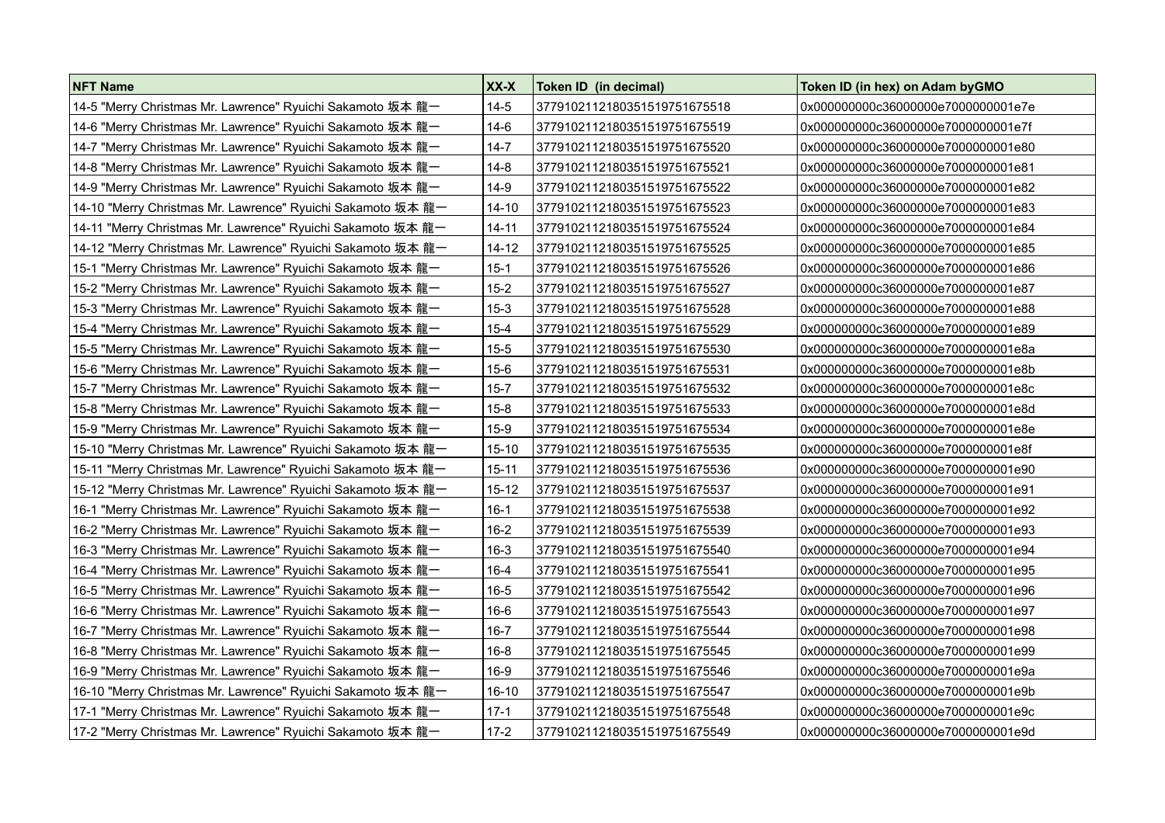| <b>NFT Name</b>                                             | XX-X      | Token ID (in decimal)        | Token ID (in hex) on Adam by GMO   |
|-------------------------------------------------------------|-----------|------------------------------|------------------------------------|
| 14-5 "Merry Christmas Mr. Lawrence" Ryuichi Sakamoto 坂本 龍一  | $14 - 5$  | 3779102112180351519751675518 | 0x000000000c36000000e7000000001e7e |
| 14-6 "Merry Christmas Mr. Lawrence" Ryuichi Sakamoto 坂本 龍一  | 14-6      | 3779102112180351519751675519 | 0x000000000c36000000e7000000001e7f |
| 14-7 "Merry Christmas Mr. Lawrence" Ryuichi Sakamoto 坂本 龍一  | 14-7      | 3779102112180351519751675520 | 0x000000000c36000000e7000000001e80 |
| 14-8 "Merry Christmas Mr. Lawrence" Ryuichi Sakamoto 坂本 龍一  | 14-8      | 3779102112180351519751675521 | 0x000000000c36000000e7000000001e81 |
| 14-9 "Merry Christmas Mr. Lawrence" Ryuichi Sakamoto 坂本 龍一  | 14-9      | 3779102112180351519751675522 | 0x000000000c36000000e7000000001e82 |
| 14-10 "Merry Christmas Mr. Lawrence" Ryuichi Sakamoto 坂本 龍一 | 14-10     | 3779102112180351519751675523 | 0x000000000c36000000e7000000001e83 |
| 14-11 "Merry Christmas Mr. Lawrence" Ryuichi Sakamoto 坂本 龍一 | 14-11     | 3779102112180351519751675524 | 0x000000000c36000000e7000000001e84 |
| 14-12 "Merry Christmas Mr. Lawrence" Ryuichi Sakamoto 坂本 龍一 | $14 - 12$ | 3779102112180351519751675525 | 0x000000000c36000000e7000000001e85 |
| 15-1 "Merry Christmas Mr. Lawrence" Ryuichi Sakamoto 坂本 龍一  | $15 - 1$  | 3779102112180351519751675526 | 0x000000000c36000000e7000000001e86 |
| 15-2 "Merry Christmas Mr. Lawrence" Ryuichi Sakamoto 坂本 龍一  | $15 - 2$  | 3779102112180351519751675527 | 0x000000000c36000000e7000000001e87 |
| 15-3 "Merry Christmas Mr. Lawrence" Ryuichi Sakamoto 坂本 龍一  | $15 - 3$  | 3779102112180351519751675528 | 0x000000000c36000000e7000000001e88 |
| 15-4 "Merry Christmas Mr. Lawrence" Ryuichi Sakamoto 坂本 龍一  | $15 - 4$  | 3779102112180351519751675529 | 0x000000000c36000000e7000000001e89 |
| 15-5 "Merry Christmas Mr. Lawrence" Ryuichi Sakamoto 坂本 龍一  | $15 - 5$  | 3779102112180351519751675530 | 0x000000000c36000000e7000000001e8a |
| 15-6 "Merry Christmas Mr. Lawrence" Ryuichi Sakamoto 坂本 龍一  | $15-6$    | 3779102112180351519751675531 | 0x000000000c36000000e7000000001e8b |
| 15-7 "Merry Christmas Mr. Lawrence" Ryuichi Sakamoto 坂本 龍一  | $15 - 7$  | 3779102112180351519751675532 | 0x000000000c36000000e7000000001e8c |
| 15-8 "Merry Christmas Mr. Lawrence" Ryuichi Sakamoto 坂本 龍一  | $15 - 8$  | 3779102112180351519751675533 | 0x000000000c36000000e7000000001e8d |
| 15-9 "Merry Christmas Mr. Lawrence" Ryuichi Sakamoto 坂本 龍一  | $15-9$    | 3779102112180351519751675534 | 0x000000000c36000000e7000000001e8e |
| 15-10 "Merry Christmas Mr. Lawrence" Ryuichi Sakamoto 坂本 龍一 | $15-10$   | 3779102112180351519751675535 | 0x000000000c36000000e7000000001e8f |
| 15-11 "Merry Christmas Mr. Lawrence" Ryuichi Sakamoto 坂本 龍一 | $15 - 11$ | 3779102112180351519751675536 | 0x000000000c36000000e7000000001e90 |
| 15-12 "Merry Christmas Mr. Lawrence" Ryuichi Sakamoto 坂本 龍一 | $15 - 12$ | 3779102112180351519751675537 | 0x000000000c36000000e7000000001e91 |
| 16-1 "Merry Christmas Mr. Lawrence" Ryuichi Sakamoto 坂本 龍一  | $16-1$    | 3779102112180351519751675538 | 0x000000000c36000000e7000000001e92 |
| 16-2 "Merry Christmas Mr. Lawrence" Ryuichi Sakamoto 坂本 龍一  | 16-2      | 3779102112180351519751675539 | 0x000000000c36000000e7000000001e93 |
| 16-3 "Merry Christmas Mr. Lawrence" Ryuichi Sakamoto 坂本 龍一  | $16-3$    | 3779102112180351519751675540 | 0x000000000c36000000e7000000001e94 |
| 16-4 "Merry Christmas Mr. Lawrence" Ryuichi Sakamoto 坂本 龍一  | 16-4      | 3779102112180351519751675541 | 0x000000000c36000000e7000000001e95 |
| 16-5 "Merry Christmas Mr. Lawrence" Ryuichi Sakamoto 坂本 龍一  | $16 - 5$  | 3779102112180351519751675542 | 0x000000000c36000000e7000000001e96 |
| 16-6 "Merry Christmas Mr. Lawrence" Ryuichi Sakamoto 坂本 龍一  | $16-6$    | 3779102112180351519751675543 | 0x000000000c36000000e7000000001e97 |
| 16-7 "Merry Christmas Mr. Lawrence" Ryuichi Sakamoto 坂本 龍一  | $16 - 7$  | 3779102112180351519751675544 | 0x000000000c36000000e7000000001e98 |
| 16-8 "Merry Christmas Mr. Lawrence" Ryuichi Sakamoto 坂本 龍一  | $16 - 8$  | 3779102112180351519751675545 | 0x000000000c36000000e7000000001e99 |
| 16-9 "Merry Christmas Mr. Lawrence" Ryuichi Sakamoto 坂本 龍一  | 16-9      | 3779102112180351519751675546 | 0x000000000c36000000e7000000001e9a |
| 16-10 "Merry Christmas Mr. Lawrence" Ryuichi Sakamoto 坂本 龍一 | 16-10     | 3779102112180351519751675547 | 0x000000000c36000000e7000000001e9b |
| 17-1 "Merry Christmas Mr. Lawrence" Ryuichi Sakamoto 坂本 龍一  | $17-1$    | 3779102112180351519751675548 | 0x000000000c36000000e7000000001e9c |
| 17-2 "Merry Christmas Mr. Lawrence" Ryuichi Sakamoto 坂本 龍一  | $17 - 2$  | 3779102112180351519751675549 | 0x000000000c36000000e7000000001e9d |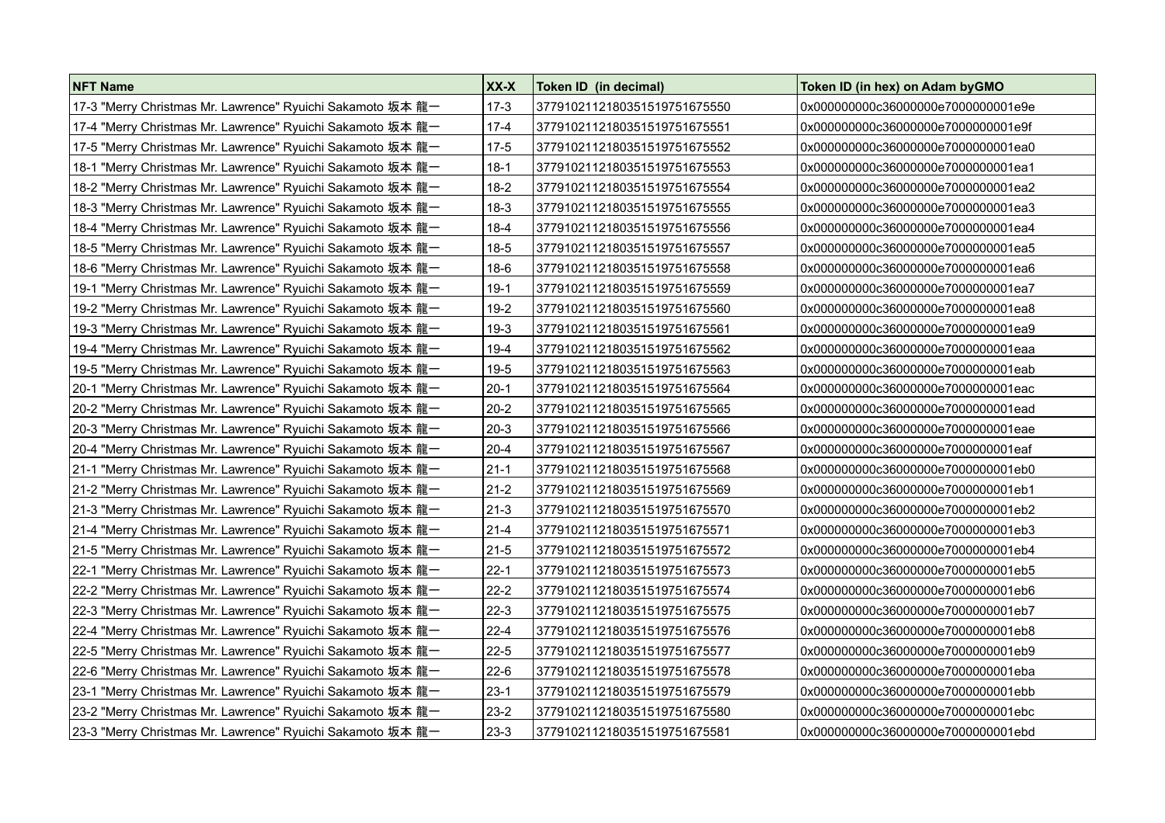| <b>NFT Name</b>                                            | XX-X     | Token ID (in decimal)        | Token ID (in hex) on Adam byGMO    |
|------------------------------------------------------------|----------|------------------------------|------------------------------------|
| 17-3 "Merry Christmas Mr. Lawrence" Ryuichi Sakamoto 坂本 龍一 | $17-3$   | 3779102112180351519751675550 | 0x000000000c36000000e7000000001e9e |
| 17-4 "Merry Christmas Mr. Lawrence" Ryuichi Sakamoto 坂本 龍一 | $17 - 4$ | 3779102112180351519751675551 | 0x000000000c36000000e7000000001e9f |
| 17-5 "Merry Christmas Mr. Lawrence" Ryuichi Sakamoto 坂本 龍一 | $17 - 5$ | 3779102112180351519751675552 | 0x000000000c36000000e7000000001ea0 |
| 18-1 "Merry Christmas Mr. Lawrence" Ryuichi Sakamoto 坂本 龍一 | $18-1$   | 3779102112180351519751675553 | 0x000000000c36000000e7000000001ea1 |
| 18-2 "Merry Christmas Mr. Lawrence" Ryuichi Sakamoto 坂本 龍一 | $18-2$   | 3779102112180351519751675554 | 0x000000000c36000000e7000000001ea2 |
| 18-3 "Merry Christmas Mr. Lawrence" Ryuichi Sakamoto 坂本 龍一 | $18-3$   | 3779102112180351519751675555 | 0x000000000c36000000e7000000001ea3 |
| 18-4 "Merry Christmas Mr. Lawrence" Ryuichi Sakamoto 坂本 龍一 | 18-4     | 3779102112180351519751675556 | 0x000000000c36000000e7000000001ea4 |
| 18-5 "Merry Christmas Mr. Lawrence" Ryuichi Sakamoto 坂本 龍一 | $18-5$   | 3779102112180351519751675557 | 0x000000000c36000000e7000000001ea5 |
| 18-6 "Merry Christmas Mr. Lawrence" Ryuichi Sakamoto 坂本 龍一 | $18-6$   | 3779102112180351519751675558 | 0x000000000c36000000e7000000001ea6 |
| 19-1 "Merry Christmas Mr. Lawrence" Ryuichi Sakamoto 坂本 龍一 | $19-1$   | 3779102112180351519751675559 | 0x000000000c36000000e7000000001ea7 |
| 19-2 "Merry Christmas Mr. Lawrence" Ryuichi Sakamoto 坂本 龍一 | $19-2$   | 3779102112180351519751675560 | 0x000000000c36000000e7000000001ea8 |
| 19-3 "Merry Christmas Mr. Lawrence" Ryuichi Sakamoto 坂本 龍一 | $19-3$   | 3779102112180351519751675561 | 0x000000000c36000000e7000000001ea9 |
| 19-4 "Merry Christmas Mr. Lawrence" Ryuichi Sakamoto 坂本 龍一 | $19 - 4$ | 3779102112180351519751675562 | 0x000000000c36000000e7000000001eaa |
| 19-5 "Merry Christmas Mr. Lawrence" Ryuichi Sakamoto 坂本 龍一 | $19 - 5$ | 3779102112180351519751675563 | 0x000000000c36000000e7000000001eab |
| 20-1 "Merry Christmas Mr. Lawrence" Ryuichi Sakamoto 坂本 龍一 | $20 - 1$ | 3779102112180351519751675564 | 0x000000000c36000000e7000000001eac |
| 20-2 "Merry Christmas Mr. Lawrence" Ryuichi Sakamoto 坂本 龍一 | $20 - 2$ | 3779102112180351519751675565 | 0x000000000c36000000e7000000001ead |
| 20-3 "Merry Christmas Mr. Lawrence" Ryuichi Sakamoto 坂本 龍一 | $20-3$   | 3779102112180351519751675566 | 0x000000000c36000000e7000000001eae |
| 20-4 "Merry Christmas Mr. Lawrence" Ryuichi Sakamoto 坂本 龍一 | $20 - 4$ | 3779102112180351519751675567 | 0x000000000c36000000e7000000001eaf |
| 21-1 "Merry Christmas Mr. Lawrence" Ryuichi Sakamoto 坂本 龍一 | $21 - 1$ | 3779102112180351519751675568 | 0x000000000c36000000e7000000001eb0 |
| 21-2 "Merry Christmas Mr. Lawrence" Ryuichi Sakamoto 坂本 龍一 | $21-2$   | 3779102112180351519751675569 | 0x000000000c36000000e7000000001eb1 |
|                                                            | $21-3$   | 3779102112180351519751675570 | 0x000000000c36000000e7000000001eb2 |
| 21-4 "Merry Christmas Mr. Lawrence" Ryuichi Sakamoto 坂本 龍一 | $21 - 4$ | 3779102112180351519751675571 | 0x000000000c36000000e7000000001eb3 |
| 21-5 "Merry Christmas Mr. Lawrence" Ryuichi Sakamoto 坂本 龍一 | $21 - 5$ | 3779102112180351519751675572 | 0x000000000c36000000e7000000001eb4 |
| 22-1 "Merry Christmas Mr. Lawrence" Ryuichi Sakamoto 坂本 龍一 | $22 - 1$ | 3779102112180351519751675573 | 0x000000000c36000000e7000000001eb5 |
| 22-2 "Merry Christmas Mr. Lawrence" Ryuichi Sakamoto 坂本 龍一 | $22 - 2$ | 3779102112180351519751675574 | 0x000000000c36000000e7000000001eb6 |
| 22-3 "Merry Christmas Mr. Lawrence" Ryuichi Sakamoto 坂本 龍一 | $22-3$   | 3779102112180351519751675575 | 0x000000000c36000000e7000000001eb7 |
| 22-4 "Merry Christmas Mr. Lawrence" Ryuichi Sakamoto 坂本 龍一 | $22 - 4$ | 3779102112180351519751675576 | 0x000000000c36000000e7000000001eb8 |
| 22-5 "Merry Christmas Mr. Lawrence" Ryuichi Sakamoto 坂本 龍一 | $22 - 5$ | 3779102112180351519751675577 | 0x000000000c36000000e7000000001eb9 |
| 22-6 "Merry Christmas Mr. Lawrence" Ryuichi Sakamoto 坂本 龍一 | $22-6$   | 3779102112180351519751675578 | 0x000000000c36000000e7000000001eba |
| 23-1 "Merry Christmas Mr. Lawrence" Ryuichi Sakamoto 坂本 龍一 | $23-1$   | 3779102112180351519751675579 | 0x000000000c36000000e7000000001ebb |
| 23-2 "Merry Christmas Mr. Lawrence" Ryuichi Sakamoto 坂本 龍一 | $23 - 2$ | 3779102112180351519751675580 | 0x000000000c36000000e7000000001ebc |
| 23-3 "Merry Christmas Mr. Lawrence" Ryuichi Sakamoto 坂本 龍一 | $23-3$   | 3779102112180351519751675581 | 0x000000000c36000000e7000000001ebd |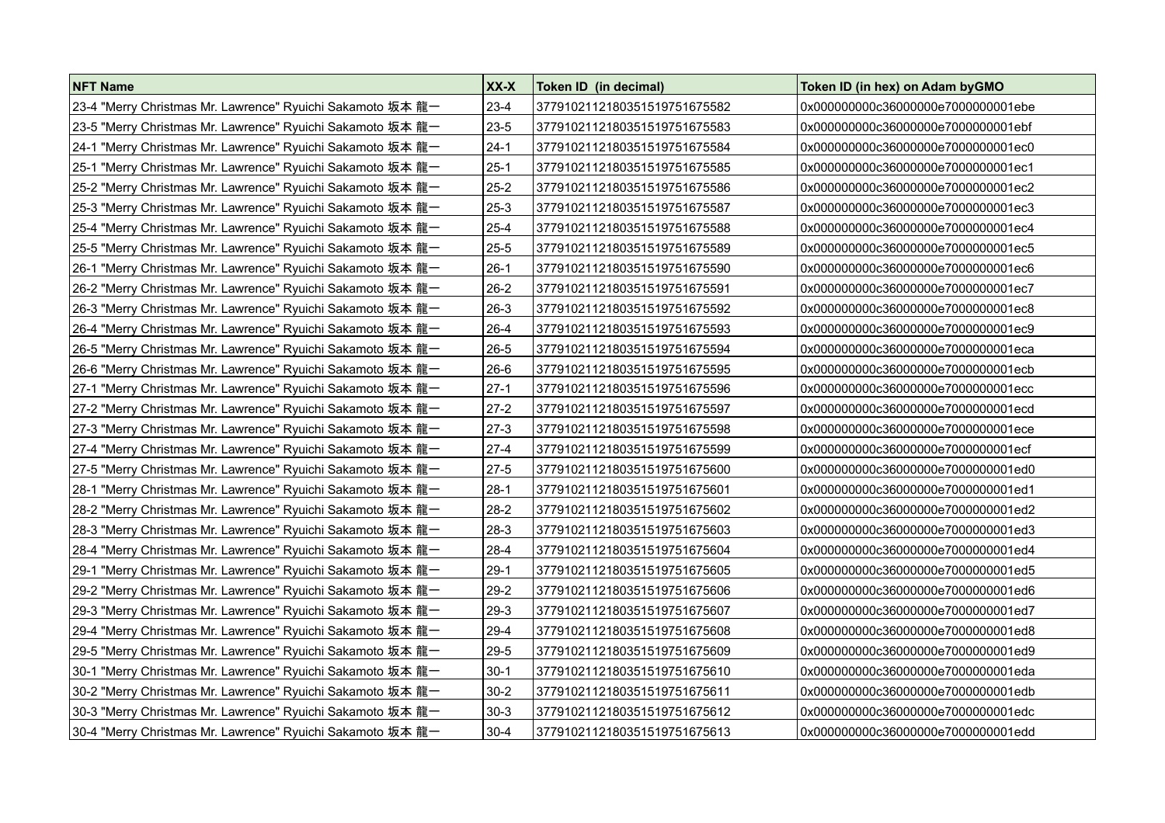| <b>NFT Name</b>                                            | XX-X     | Token ID (in decimal)        | Token ID (in hex) on Adam by GMO   |
|------------------------------------------------------------|----------|------------------------------|------------------------------------|
| 23-4 "Merry Christmas Mr. Lawrence" Ryuichi Sakamoto 坂本 龍一 | $23-4$   | 3779102112180351519751675582 | 0x000000000c36000000e7000000001ebe |
| 23-5 "Merry Christmas Mr. Lawrence" Ryuichi Sakamoto 坂本 龍一 | $23 - 5$ | 3779102112180351519751675583 | 0x000000000c36000000e7000000001ebf |
| 24-1 "Merry Christmas Mr. Lawrence" Ryuichi Sakamoto 坂本 龍一 | $24-1$   | 3779102112180351519751675584 | 0x000000000c36000000e7000000001ec0 |
| 25-1 "Merry Christmas Mr. Lawrence" Ryuichi Sakamoto 坂本 龍一 | $25 - 1$ | 3779102112180351519751675585 | 0x000000000c36000000e7000000001ec1 |
| 25-2 "Merry Christmas Mr. Lawrence" Ryuichi Sakamoto 坂本 龍一 | $25-2$   | 3779102112180351519751675586 | 0x000000000c36000000e7000000001ec2 |
| 25-3 "Merry Christmas Mr. Lawrence" Ryuichi Sakamoto 坂本 龍一 | $25 - 3$ | 3779102112180351519751675587 | 0x000000000c36000000e7000000001ec3 |
| 25-4 "Merry Christmas Mr. Lawrence" Ryuichi Sakamoto 坂本 龍一 | $25 - 4$ | 3779102112180351519751675588 | 0x000000000c36000000e7000000001ec4 |
| 25-5 "Merry Christmas Mr. Lawrence" Ryuichi Sakamoto 坂本 龍一 | $25 - 5$ | 3779102112180351519751675589 | 0x000000000c36000000e7000000001ec5 |
| 26-1 "Merry Christmas Mr. Lawrence" Ryuichi Sakamoto 坂本 龍一 | $26-1$   | 3779102112180351519751675590 | 0x000000000c36000000e7000000001ec6 |
| 26-2 "Merry Christmas Mr. Lawrence" Ryuichi Sakamoto 坂本 龍一 | $26-2$   | 3779102112180351519751675591 | 0x000000000c36000000e7000000001ec7 |
| 26-3 "Merry Christmas Mr. Lawrence" Ryuichi Sakamoto 坂本 龍一 | $26-3$   | 3779102112180351519751675592 | 0x000000000c36000000e7000000001ec8 |
| 26-4 "Merry Christmas Mr. Lawrence" Ryuichi Sakamoto 坂本 龍一 | $26-4$   | 3779102112180351519751675593 | 0x000000000c36000000e7000000001ec9 |
| 26-5 "Merry Christmas Mr. Lawrence" Ryuichi Sakamoto 坂本 龍一 | $26 - 5$ | 3779102112180351519751675594 | 0x000000000c36000000e7000000001eca |
| 26-6 "Merry Christmas Mr. Lawrence" Ryuichi Sakamoto 坂本 龍一 | $26-6$   | 3779102112180351519751675595 | 0x000000000c36000000e7000000001ecb |
| 27-1 "Merry Christmas Mr. Lawrence" Ryuichi Sakamoto 坂本 龍一 | $27-1$   | 3779102112180351519751675596 | 0x000000000c36000000e7000000001ecc |
| 27-2 "Merry Christmas Mr. Lawrence" Ryuichi Sakamoto 坂本 龍一 | $27-2$   | 3779102112180351519751675597 | 0x000000000c36000000e7000000001ecd |
| 27-3 "Merry Christmas Mr. Lawrence" Ryuichi Sakamoto 坂本 龍一 | $27-3$   | 3779102112180351519751675598 | 0x000000000c36000000e7000000001ece |
| 27-4 "Merry Christmas Mr. Lawrence" Ryuichi Sakamoto 坂本 龍一 | $27-4$   | 3779102112180351519751675599 | 0x000000000c36000000e7000000001ecf |
| 27-5 "Merry Christmas Mr. Lawrence" Ryuichi Sakamoto 坂本 龍一 | 27-5     | 3779102112180351519751675600 | 0x000000000c36000000e7000000001ed0 |
| 28-1 "Merry Christmas Mr. Lawrence" Ryuichi Sakamoto 坂本 龍一 | $28-1$   | 3779102112180351519751675601 | 0x000000000c36000000e7000000001ed1 |
| 28-2 "Merry Christmas Mr. Lawrence" Ryuichi Sakamoto 坂本 龍一 | $28-2$   | 3779102112180351519751675602 | 0x000000000c36000000e7000000001ed2 |
| 28-3 "Merry Christmas Mr. Lawrence" Ryuichi Sakamoto 坂本 龍一 | $28-3$   | 3779102112180351519751675603 | 0x000000000c36000000e7000000001ed3 |
| 28-4 "Merry Christmas Mr. Lawrence" Ryuichi Sakamoto 坂本 龍一 | $28-4$   | 3779102112180351519751675604 | 0x000000000c36000000e7000000001ed4 |
| 29-1 "Merry Christmas Mr. Lawrence" Ryuichi Sakamoto 坂本 龍一 | $29-1$   | 3779102112180351519751675605 | 0x000000000c36000000e7000000001ed5 |
| 29-2 "Merry Christmas Mr. Lawrence" Ryuichi Sakamoto 坂本 龍一 | $29-2$   | 3779102112180351519751675606 | 0x000000000c36000000e7000000001ed6 |
| 29-3 "Merry Christmas Mr. Lawrence" Ryuichi Sakamoto 坂本 龍一 | $29-3$   | 3779102112180351519751675607 | 0x000000000c36000000e7000000001ed7 |
| 29-4 "Merry Christmas Mr. Lawrence" Ryuichi Sakamoto 坂本 龍一 | $29-4$   | 3779102112180351519751675608 | 0x000000000c36000000e7000000001ed8 |
| 29-5 "Merry Christmas Mr. Lawrence" Ryuichi Sakamoto 坂本 龍一 | $29 - 5$ | 3779102112180351519751675609 | 0x000000000c36000000e7000000001ed9 |
| 30-1 "Merry Christmas Mr. Lawrence" Ryuichi Sakamoto 坂本 龍一 | $30-1$   | 3779102112180351519751675610 | 0x000000000c36000000e7000000001eda |
| 30-2 "Merry Christmas Mr. Lawrence" Ryuichi Sakamoto 坂本 龍一 | $30 - 2$ | 3779102112180351519751675611 | 0x000000000c36000000e7000000001edb |
| 30-3 "Merry Christmas Mr. Lawrence" Ryuichi Sakamoto 坂本 龍一 | $30-3$   | 3779102112180351519751675612 | 0x000000000c36000000e7000000001edc |
| 30-4 "Merry Christmas Mr. Lawrence" Ryuichi Sakamoto 坂本 龍一 | $30 - 4$ | 3779102112180351519751675613 | 0x000000000c36000000e7000000001edd |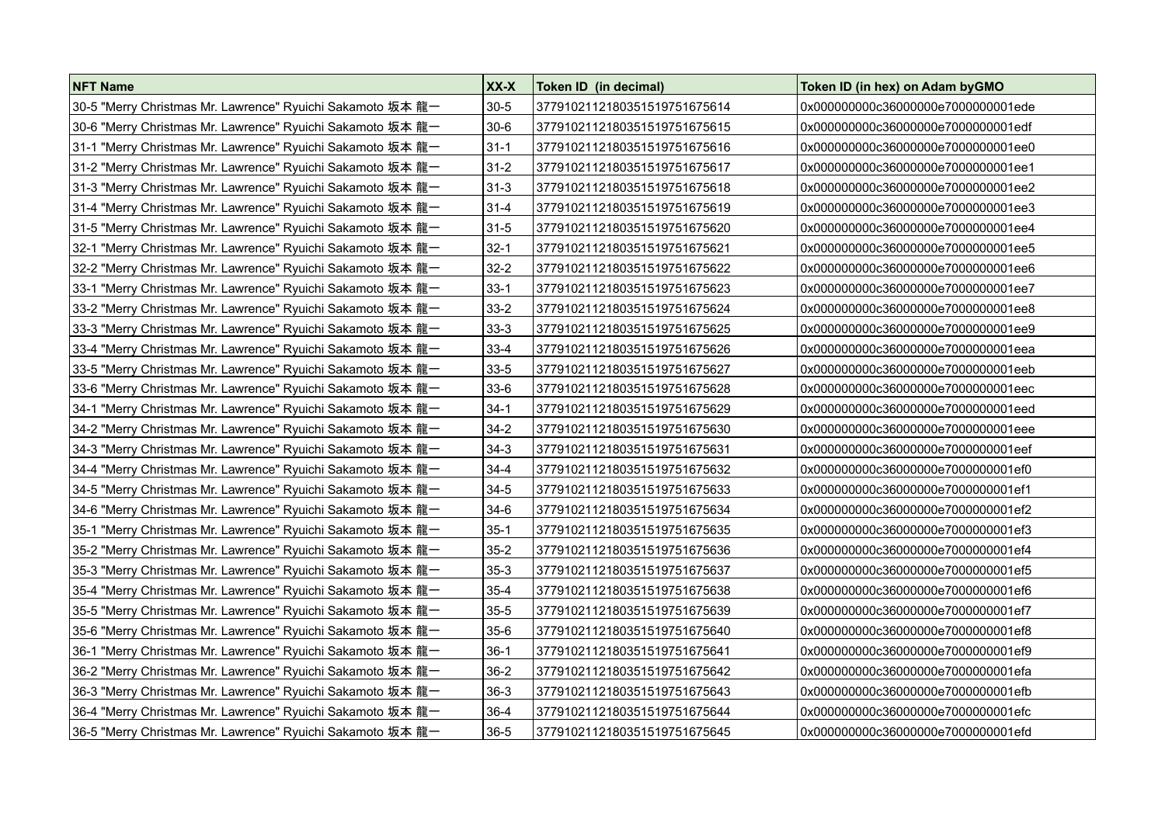| <b>NFT Name</b>                                            | XX-X     | Token ID (in decimal)        | Token ID (in hex) on Adam by GMO   |
|------------------------------------------------------------|----------|------------------------------|------------------------------------|
| 30-5 "Merry Christmas Mr. Lawrence" Ryuichi Sakamoto 坂本 龍一 | $30 - 5$ | 3779102112180351519751675614 | 0x000000000c36000000e7000000001ede |
| 30-6 "Merry Christmas Mr. Lawrence" Ryuichi Sakamoto 坂本 龍一 | $30-6$   | 3779102112180351519751675615 | 0x000000000c36000000e7000000001edf |
| 31-1 "Merry Christmas Mr. Lawrence" Ryuichi Sakamoto 坂本 龍一 | $31 - 1$ | 3779102112180351519751675616 | 0x000000000c36000000e7000000001ee0 |
| 31-2 "Merry Christmas Mr. Lawrence" Ryuichi Sakamoto 坂本 龍一 | $31 - 2$ | 3779102112180351519751675617 | 0x000000000c36000000e7000000001ee1 |
| 31-3 "Merry Christmas Mr. Lawrence" Ryuichi Sakamoto 坂本 龍一 | $31-3$   | 3779102112180351519751675618 | 0x000000000c36000000e7000000001ee2 |
| 31-4 "Merry Christmas Mr. Lawrence" Ryuichi Sakamoto 坂本 龍一 | $31 - 4$ | 3779102112180351519751675619 | 0x000000000c36000000e7000000001ee3 |
| 31-5 "Merry Christmas Mr. Lawrence" Ryuichi Sakamoto 坂本 龍一 | $31-5$   | 3779102112180351519751675620 | 0x000000000c36000000e7000000001ee4 |
| 32-1 "Merry Christmas Mr. Lawrence" Ryuichi Sakamoto 坂本 龍一 | $32-1$   | 3779102112180351519751675621 | 0x000000000c36000000e7000000001ee5 |
| 32-2 "Merry Christmas Mr. Lawrence" Ryuichi Sakamoto 坂本 龍一 | $32 - 2$ | 3779102112180351519751675622 | 0x000000000c36000000e7000000001ee6 |
| 33-1 "Merry Christmas Mr. Lawrence" Ryuichi Sakamoto 坂本 龍一 | $33 - 1$ | 3779102112180351519751675623 | 0x000000000c36000000e7000000001ee7 |
| 33-2 "Merry Christmas Mr. Lawrence" Ryuichi Sakamoto 坂本 龍一 | $33 - 2$ | 3779102112180351519751675624 | 0x000000000c36000000e7000000001ee8 |
| 33-3 "Merry Christmas Mr. Lawrence" Ryuichi Sakamoto 坂本 龍一 | $33 - 3$ | 3779102112180351519751675625 | 0x000000000c36000000e7000000001ee9 |
| 33-4 "Merry Christmas Mr. Lawrence" Ryuichi Sakamoto 坂本 龍一 | $33 - 4$ | 3779102112180351519751675626 | 0x000000000c36000000e7000000001eea |
| 33-5 "Merry Christmas Mr. Lawrence" Ryuichi Sakamoto 坂本 龍一 | $33 - 5$ | 3779102112180351519751675627 | 0x000000000c36000000e7000000001eeb |
| 33-6 "Merry Christmas Mr. Lawrence" Ryuichi Sakamoto 坂本 龍一 | $33-6$   | 3779102112180351519751675628 | 0x000000000c36000000e7000000001eec |
| 34-1 "Merry Christmas Mr. Lawrence" Ryuichi Sakamoto 坂本 龍一 | $34-1$   | 3779102112180351519751675629 | 0x000000000c36000000e7000000001eed |
| 34-2 "Merry Christmas Mr. Lawrence" Ryuichi Sakamoto 坂本 龍一 | $34 - 2$ | 3779102112180351519751675630 | 0x000000000c36000000e7000000001eee |
| 34-3 "Merry Christmas Mr. Lawrence" Ryuichi Sakamoto 坂本 龍一 | $34-3$   | 3779102112180351519751675631 | 0x000000000c36000000e7000000001eef |
| 34-4 "Merry Christmas Mr. Lawrence" Ryuichi Sakamoto 坂本 龍一 | $34 - 4$ | 3779102112180351519751675632 | 0x000000000c36000000e7000000001ef0 |
| 34-5 "Merry Christmas Mr. Lawrence" Ryuichi Sakamoto 坂本 龍一 | $34 - 5$ | 3779102112180351519751675633 | 0x000000000c36000000e7000000001ef1 |
| 34-6 "Merry Christmas Mr. Lawrence" Ryuichi Sakamoto 坂本 龍一 | $34-6$   | 3779102112180351519751675634 | 0x000000000c36000000e7000000001ef2 |
| 35-1 "Merry Christmas Mr. Lawrence" Ryuichi Sakamoto 坂本 龍一 | $35-1$   | 3779102112180351519751675635 | 0x000000000c36000000e7000000001ef3 |
| 35-2 "Merry Christmas Mr. Lawrence" Ryuichi Sakamoto 坂本 龍一 | $35 - 2$ | 3779102112180351519751675636 | 0x000000000c36000000e7000000001ef4 |
| 35-3 "Merry Christmas Mr. Lawrence" Ryuichi Sakamoto 坂本 龍一 | $35-3$   | 3779102112180351519751675637 | 0x000000000c36000000e7000000001ef5 |
| 35-4 "Merry Christmas Mr. Lawrence" Ryuichi Sakamoto 坂本 龍一 | $35 - 4$ | 3779102112180351519751675638 | 0x000000000c36000000e7000000001ef6 |
| 35-5 "Merry Christmas Mr. Lawrence" Ryuichi Sakamoto 坂本 龍一 | $35 - 5$ | 3779102112180351519751675639 | 0x000000000c36000000e7000000001ef7 |
| 35-6 "Merry Christmas Mr. Lawrence" Ryuichi Sakamoto 坂本 龍一 | $35-6$   | 3779102112180351519751675640 | 0x000000000c36000000e7000000001ef8 |
| 36-1 "Merry Christmas Mr. Lawrence" Ryuichi Sakamoto 坂本 龍一 | $36-1$   | 3779102112180351519751675641 | 0x000000000c36000000e7000000001ef9 |
| 36-2 "Merry Christmas Mr. Lawrence" Ryuichi Sakamoto 坂本 龍一 | $36-2$   | 3779102112180351519751675642 | 0x000000000c36000000e7000000001efa |
| 36-3 "Merry Christmas Mr. Lawrence" Ryuichi Sakamoto 坂本 龍一 | $36-3$   | 3779102112180351519751675643 | 0x000000000c36000000e7000000001efb |
| 36-4 "Merry Christmas Mr. Lawrence" Ryuichi Sakamoto 坂本 龍一 | $36-4$   | 3779102112180351519751675644 | 0x000000000c36000000e7000000001efc |
| 36-5 "Merry Christmas Mr. Lawrence" Ryuichi Sakamoto 坂本 龍一 | $36 - 5$ | 3779102112180351519751675645 | 0x000000000c36000000e7000000001efd |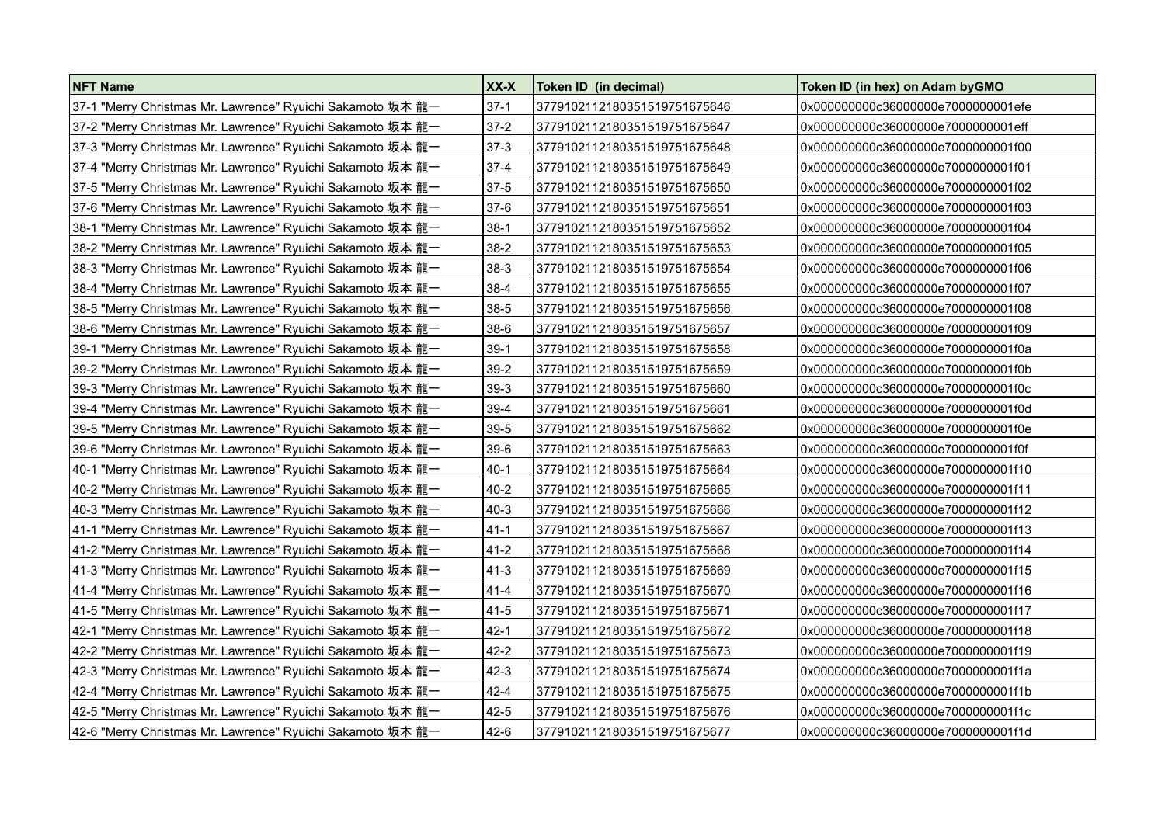| <b>NFT Name</b>                                            | XX-X     | Token ID (in decimal)        | Token ID (in hex) on Adam by GMO    |
|------------------------------------------------------------|----------|------------------------------|-------------------------------------|
| 37-1 "Merry Christmas Mr. Lawrence" Ryuichi Sakamoto 坂本 龍一 | $37-1$   | 3779102112180351519751675646 | 0x000000000c36000000e7000000001efe  |
| 37-2 "Merry Christmas Mr. Lawrence" Ryuichi Sakamoto 坂本 龍一 | $37 - 2$ | 3779102112180351519751675647 | 0x000000000c36000000e7000000001eff  |
| 37-3 "Merry Christmas Mr. Lawrence" Ryuichi Sakamoto 坂本 龍一 | $37-3$   | 3779102112180351519751675648 | 0x000000000c36000000e7000000001f00  |
| 37-4 "Merry Christmas Mr. Lawrence" Ryuichi Sakamoto 坂本 龍一 | $37 - 4$ | 3779102112180351519751675649 | 0x000000000c36000000e7000000001f01  |
| 37-5 "Merry Christmas Mr. Lawrence" Ryuichi Sakamoto 坂本 龍一 | 37-5     | 3779102112180351519751675650 | 0x000000000c36000000e70000000001f02 |
| 37-6 "Merry Christmas Mr. Lawrence" Ryuichi Sakamoto 坂本 龍一 | $37-6$   | 3779102112180351519751675651 | 0x000000000c36000000e7000000001f03  |
| 38-1 "Merry Christmas Mr. Lawrence" Ryuichi Sakamoto 坂本 龍一 | $38-1$   | 3779102112180351519751675652 | 0x000000000c36000000e7000000001f04  |
| 38-2 "Merry Christmas Mr. Lawrence" Ryuichi Sakamoto 坂本 龍一 | $38-2$   | 3779102112180351519751675653 | 0x000000000c36000000e7000000001f05  |
| 38-3 "Merry Christmas Mr. Lawrence" Ryuichi Sakamoto 坂本 龍一 | $38-3$   | 3779102112180351519751675654 | 0x000000000c36000000e7000000001f06  |
| 38-4 "Merry Christmas Mr. Lawrence" Ryuichi Sakamoto 坂本 龍一 | $38 - 4$ | 3779102112180351519751675655 | 0x000000000c36000000e7000000001f07  |
| 38-5 "Merry Christmas Mr. Lawrence" Ryuichi Sakamoto 坂本 龍一 | $38-5$   | 3779102112180351519751675656 | 0x000000000c36000000e7000000001f08  |
| 38-6 "Merry Christmas Mr. Lawrence" Ryuichi Sakamoto 坂本 龍一 | $38-6$   | 3779102112180351519751675657 | 0x000000000c36000000e7000000001f09  |
| 39-1 "Merry Christmas Mr. Lawrence" Ryuichi Sakamoto 坂本 龍一 | $39-1$   | 3779102112180351519751675658 | 0x000000000c36000000e7000000001f0a  |
| 39-2 "Merry Christmas Mr. Lawrence" Ryuichi Sakamoto 坂本 龍一 | $39-2$   | 3779102112180351519751675659 | 0x000000000c36000000e7000000001f0b  |
| 39-3 "Merry Christmas Mr. Lawrence" Ryuichi Sakamoto 坂本 龍一 | $39-3$   | 3779102112180351519751675660 | 0x000000000c36000000e7000000001f0c  |
| 39-4 "Merry Christmas Mr. Lawrence" Ryuichi Sakamoto 坂本 龍一 | $39 - 4$ | 3779102112180351519751675661 | 0x000000000c36000000e7000000001f0d  |
| 39-5 "Merry Christmas Mr. Lawrence" Ryuichi Sakamoto 坂本 龍一 | $39-5$   | 3779102112180351519751675662 | 0x000000000c36000000e7000000001f0e  |
| 39-6 "Merry Christmas Mr. Lawrence" Ryuichi Sakamoto 坂本龍一  | $39-6$   | 3779102112180351519751675663 | 0x000000000c36000000e7000000001f0f  |
| 40-1 "Merry Christmas Mr. Lawrence" Ryuichi Sakamoto 坂本 龍一 | $40-1$   | 3779102112180351519751675664 | 0x000000000c36000000e7000000001f10  |
| 40-2 "Merry Christmas Mr. Lawrence" Ryuichi Sakamoto 坂本 龍一 | $40 - 2$ | 3779102112180351519751675665 | 0x000000000c36000000e70000000001f11 |
| 40-3 "Merry Christmas Mr. Lawrence" Ryuichi Sakamoto 坂本 龍一 | $40-3$   | 3779102112180351519751675666 | 0x000000000c36000000e7000000001f12  |
| 41-1 "Merry Christmas Mr. Lawrence" Ryuichi Sakamoto 坂本 龍一 | $ 41-1$  | 3779102112180351519751675667 | 0x000000000c36000000e70000000001f13 |
| 41-2 "Merry Christmas Mr. Lawrence" Ryuichi Sakamoto 坂本 龍一 | $41-2$   | 3779102112180351519751675668 | 0x000000000c36000000e7000000001f14  |
|                                                            | $ 41-3 $ | 3779102112180351519751675669 | 0x000000000c36000000e70000000001f15 |
| 41-4 "Merry Christmas Mr. Lawrence" Ryuichi Sakamoto 坂本 龍一 | $41 - 4$ | 3779102112180351519751675670 | 0x000000000c36000000e7000000001f16  |
| 41-5 "Merry Christmas Mr. Lawrence" Ryuichi Sakamoto 坂本 龍一 | 41-5     | 3779102112180351519751675671 | 0x000000000c36000000e7000000001f17  |
| 42-1 "Merry Christmas Mr. Lawrence" Ryuichi Sakamoto 坂本 龍一 | $42 - 1$ | 3779102112180351519751675672 | 0x000000000c36000000e7000000001f18  |
| 42-2 "Merry Christmas Mr. Lawrence" Ryuichi Sakamoto 坂本 龍一 | $42 - 2$ | 3779102112180351519751675673 | 0x000000000c36000000e7000000001f19  |
| 42-3 "Merry Christmas Mr. Lawrence" Ryuichi Sakamoto 坂本 龍一 | $42 - 3$ | 3779102112180351519751675674 | 0x000000000c36000000e7000000001f1a  |
| 42-4 "Merry Christmas Mr. Lawrence" Ryuichi Sakamoto 坂本 龍一 | $42 - 4$ | 3779102112180351519751675675 | 0x000000000c36000000e7000000001f1b  |
| 42-5 "Merry Christmas Mr. Lawrence" Ryuichi Sakamoto 坂本 龍一 | $42 - 5$ | 3779102112180351519751675676 | 0x000000000c36000000e7000000001f1c  |
| 42-6 "Merry Christmas Mr. Lawrence" Ryuichi Sakamoto 坂本 龍一 | $42-6$   | 3779102112180351519751675677 | 0x000000000c36000000e7000000001f1d  |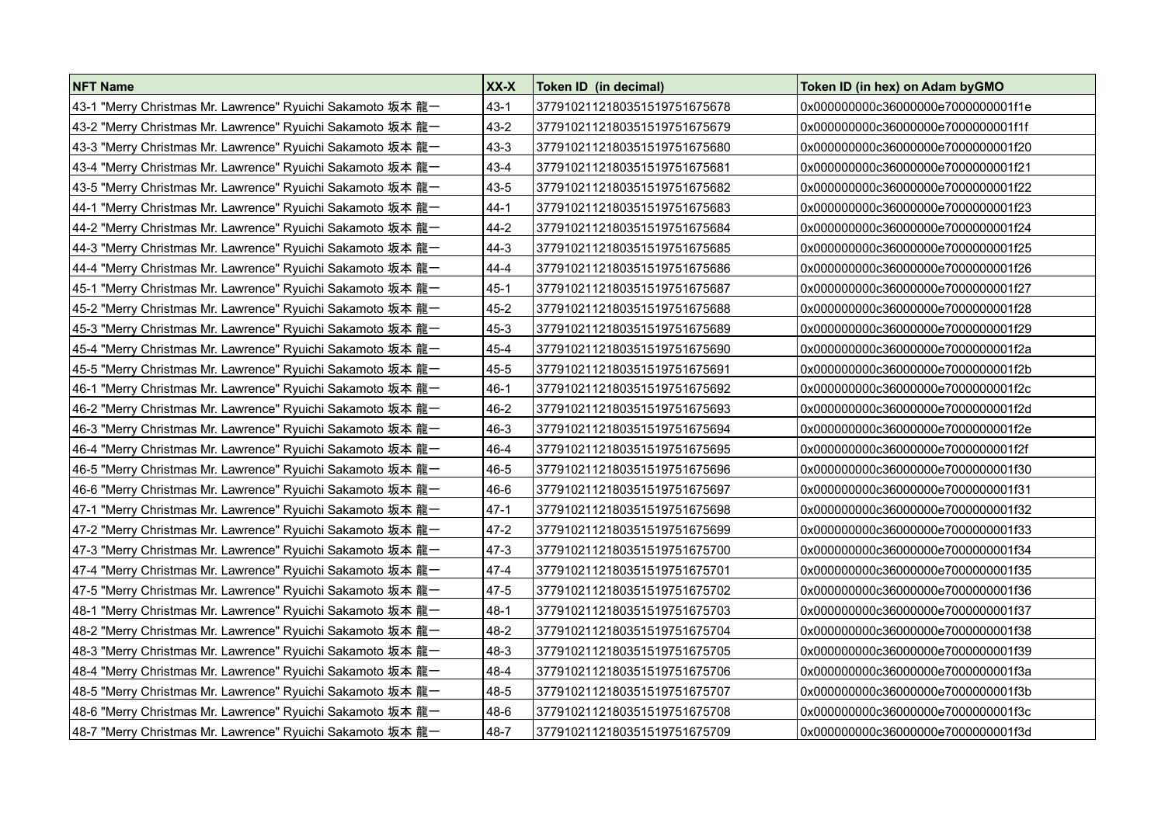| <b>NFT Name</b>                                            | XX-X     | Token ID (in decimal)        | Token ID (in hex) on Adam by GMO    |
|------------------------------------------------------------|----------|------------------------------|-------------------------------------|
| 43-1 "Merry Christmas Mr. Lawrence" Ryuichi Sakamoto 坂本 龍一 | $43 - 1$ | 3779102112180351519751675678 | 0x000000000c36000000e7000000001f1e  |
| 43-2 "Merry Christmas Mr. Lawrence" Ryuichi Sakamoto 坂本 龍一 | $43 - 2$ | 3779102112180351519751675679 | 0x000000000c36000000e7000000001f1f  |
| 43-3 "Merry Christmas Mr. Lawrence" Ryuichi Sakamoto 坂本 龍一 | 43-3     | 3779102112180351519751675680 | 0x000000000c36000000e7000000001f20  |
| 43-4 "Merry Christmas Mr. Lawrence" Ryuichi Sakamoto 坂本 龍一 | 43-4     | 3779102112180351519751675681 | 0x000000000c36000000e7000000001f21  |
| 43-5 "Merry Christmas Mr. Lawrence" Ryuichi Sakamoto 坂本 龍一 | 43-5     | 3779102112180351519751675682 | 0x000000000c36000000e70000000001f22 |
| 44-1 "Merry Christmas Mr. Lawrence" Ryuichi Sakamoto 坂本 龍一 | $44-1$   | 3779102112180351519751675683 | 0x000000000c36000000e7000000001f23  |
| 44-2 "Merry Christmas Mr. Lawrence" Ryuichi Sakamoto 坂本 龍一 | 44-2     | 3779102112180351519751675684 | 0x000000000c36000000e7000000001f24  |
| 44-3 "Merry Christmas Mr. Lawrence" Ryuichi Sakamoto 坂本 龍一 | $44-3$   | 3779102112180351519751675685 | 0x000000000c36000000e7000000001f25  |
| 44-4 "Merry Christmas Mr. Lawrence" Ryuichi Sakamoto 坂本 龍一 | $44 - 4$ | 3779102112180351519751675686 | 0x000000000c36000000e7000000001f26  |
| 45-1 "Merry Christmas Mr. Lawrence" Ryuichi Sakamoto 坂本 龍一 | $45 - 1$ | 3779102112180351519751675687 | 0x000000000c36000000e7000000001f27  |
| 45-2 "Merry Christmas Mr. Lawrence" Ryuichi Sakamoto 坂本 龍一 | $45 - 2$ | 3779102112180351519751675688 | 0x000000000c36000000e7000000001f28  |
| 45-3 "Merry Christmas Mr. Lawrence" Ryuichi Sakamoto 坂本 龍一 | 45-3     | 3779102112180351519751675689 | 0x000000000c36000000e70000000001f29 |
| 45-4 "Merry Christmas Mr. Lawrence" Ryuichi Sakamoto 坂本 龍一 | 45-4     | 3779102112180351519751675690 | 0x000000000c36000000e7000000001f2a  |
| 45-5 "Merry Christmas Mr. Lawrence" Ryuichi Sakamoto 坂本 龍一 | 45-5     | 3779102112180351519751675691 | 0x000000000c36000000e7000000001f2b  |
| 46-1 "Merry Christmas Mr. Lawrence" Ryuichi Sakamoto 坂本 龍一 | $46-1$   | 3779102112180351519751675692 | 0x000000000c36000000e70000000001f2c |
| 46-2 "Merry Christmas Mr. Lawrence" Ryuichi Sakamoto 坂本 龍一 | 46-2     | 3779102112180351519751675693 | 0x000000000c36000000e7000000001f2d  |
| 46-3 "Merry Christmas Mr. Lawrence" Ryuichi Sakamoto 坂本 龍一 | 46-3     | 3779102112180351519751675694 | 0x000000000c36000000e7000000001f2e  |
| 46-4 "Merry Christmas Mr. Lawrence" Ryuichi Sakamoto 坂本 龍一 | 46-4     | 3779102112180351519751675695 | 0x000000000c36000000e7000000001f2f  |
| 46-5 "Merry Christmas Mr. Lawrence" Ryuichi Sakamoto 坂本 龍一 | 46-5     | 3779102112180351519751675696 | 0x000000000c36000000e70000000001f30 |
| 46-6 "Merry Christmas Mr. Lawrence" Ryuichi Sakamoto 坂本 龍一 | 46-6     | 3779102112180351519751675697 | 0x000000000c36000000e7000000001f31  |
| 47-1 "Merry Christmas Mr. Lawrence" Ryuichi Sakamoto 坂本 龍一 | 47-1     | 3779102112180351519751675698 | 0x000000000c36000000e7000000001f32  |
| 47-2 "Merry Christmas Mr. Lawrence" Ryuichi Sakamoto 坂本 龍一 | $47 - 2$ | 3779102112180351519751675699 | 0x000000000c36000000e7000000001f33  |
| 47-3 "Merry Christmas Mr. Lawrence" Ryuichi Sakamoto 坂本 龍一 | $47-3$   | 3779102112180351519751675700 | 0x000000000c36000000e7000000001f34  |
| 47-4 "Merry Christmas Mr. Lawrence" Ryuichi Sakamoto 坂本 龍一 | 47-4     | 3779102112180351519751675701 | 0x000000000c36000000e7000000001f35  |
| 47-5 "Merry Christmas Mr. Lawrence" Ryuichi Sakamoto 坂本 龍一 | $47 - 5$ | 3779102112180351519751675702 | 0x000000000c36000000e7000000001f36  |
| 48-1 "Merry Christmas Mr. Lawrence" Ryuichi Sakamoto 坂本 龍一 | $48-1$   | 3779102112180351519751675703 | 0x000000000c36000000e7000000001f37  |
| 48-2 "Merry Christmas Mr. Lawrence" Ryuichi Sakamoto 坂本 龍一 | 48-2     | 3779102112180351519751675704 | 0x000000000c36000000e70000000001f38 |
| 48-3 "Merry Christmas Mr. Lawrence" Ryuichi Sakamoto 坂本 龍一 | 48-3     | 3779102112180351519751675705 | 0x000000000c36000000e7000000001f39  |
| 48-4 "Merry Christmas Mr. Lawrence" Ryuichi Sakamoto 坂本 龍一 | $48 - 4$ | 3779102112180351519751675706 | 0x000000000c36000000e7000000001f3a  |
| 48-5 "Merry Christmas Mr. Lawrence" Ryuichi Sakamoto 坂本 龍一 | 48-5     | 3779102112180351519751675707 | 0x000000000c36000000e70000000001f3b |
| 48-6 "Merry Christmas Mr. Lawrence" Ryuichi Sakamoto 坂本 龍一 | 48-6     | 3779102112180351519751675708 | 0x000000000c36000000e7000000001f3c  |
| 48-7 "Merry Christmas Mr. Lawrence" Ryuichi Sakamoto 坂本 龍一 | 48-7     | 3779102112180351519751675709 | 0x000000000c36000000e7000000001f3d  |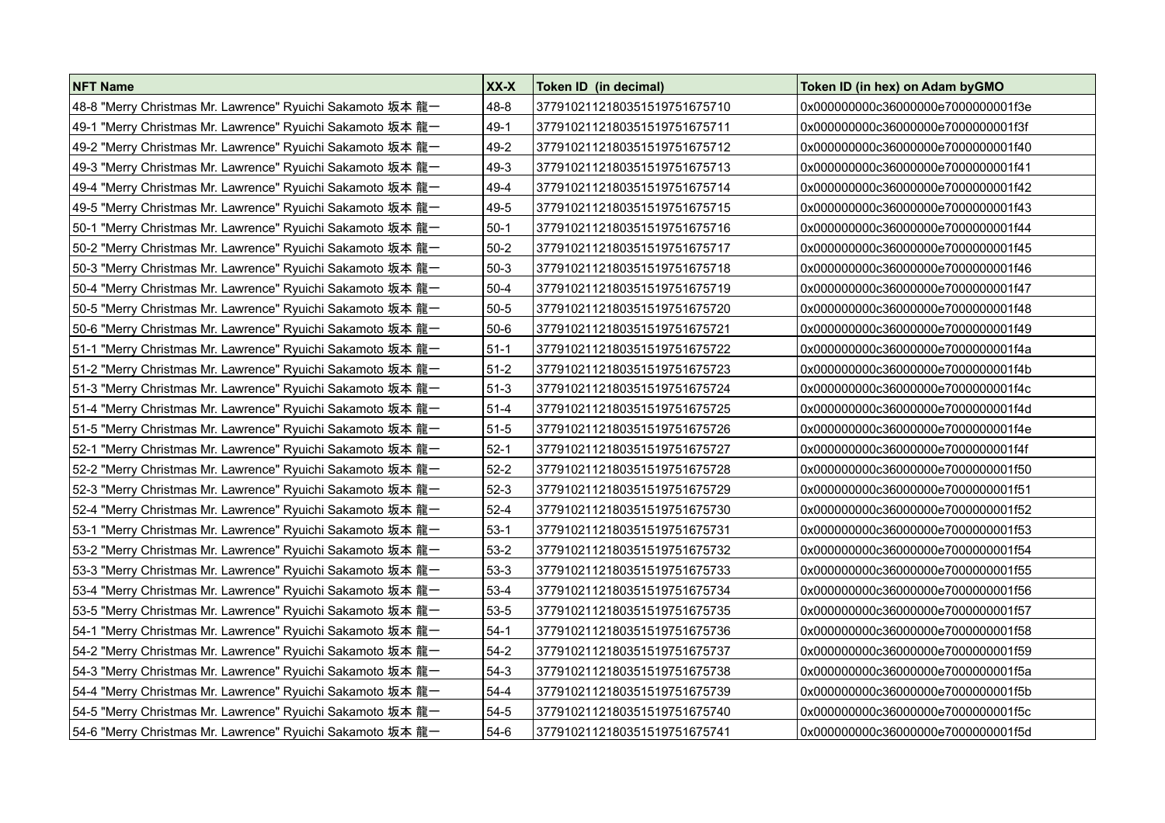| <b>NFT Name</b>                                            | XX-X     | Token ID (in decimal)        | Token ID (in hex) on Adam byGMO     |
|------------------------------------------------------------|----------|------------------------------|-------------------------------------|
| 48-8 "Merry Christmas Mr. Lawrence" Ryuichi Sakamoto 坂本 龍一 | $48 - 8$ | 3779102112180351519751675710 | 0x000000000c36000000e7000000001f3e  |
| 49-1 "Merry Christmas Mr. Lawrence" Ryuichi Sakamoto 坂本 龍一 | $49-1$   | 3779102112180351519751675711 | 0x000000000c36000000e7000000001f3f  |
| 49-2 "Merry Christmas Mr. Lawrence" Ryuichi Sakamoto 坂本 龍一 | $49-2$   | 3779102112180351519751675712 | 0x000000000c36000000e7000000001f40  |
| 49-3 "Merry Christmas Mr. Lawrence" Ryuichi Sakamoto 坂本 龍一 | $49-3$   | 3779102112180351519751675713 | 0x000000000c36000000e7000000001f41  |
| 49-4 "Merry Christmas Mr. Lawrence" Ryuichi Sakamoto 坂本 龍一 | 49-4     | 3779102112180351519751675714 | 0x000000000c36000000e7000000001f42  |
| 49-5 "Merry Christmas Mr. Lawrence" Ryuichi Sakamoto 坂本 龍一 | 49-5     | 3779102112180351519751675715 | 0x000000000c36000000e7000000001f43  |
| 50-1 "Merry Christmas Mr. Lawrence" Ryuichi Sakamoto 坂本 龍一 | $50-1$   | 3779102112180351519751675716 | 0x000000000c36000000e70000000001f44 |
| 50-2 "Merry Christmas Mr. Lawrence" Ryuichi Sakamoto 坂本 龍一 | 50-2     | 3779102112180351519751675717 | 0x000000000c36000000e7000000001f45  |
| 50-3 "Merry Christmas Mr. Lawrence" Ryuichi Sakamoto 坂本 龍一 | $50-3$   | 3779102112180351519751675718 | 0x000000000c36000000e7000000001f46  |
| 50-4 "Merry Christmas Mr. Lawrence" Ryuichi Sakamoto 坂本 龍一 | 50-4     | 3779102112180351519751675719 | 0x000000000c36000000e7000000001f47  |
| 50-5 "Merry Christmas Mr. Lawrence" Ryuichi Sakamoto 坂本 龍一 | $50 - 5$ | 3779102112180351519751675720 | 0x000000000c36000000e7000000001f48  |
| 50-6 "Merry Christmas Mr. Lawrence" Ryuichi Sakamoto 坂本 龍一 | 50-6     | 3779102112180351519751675721 | 0x000000000c36000000e7000000001f49  |
| 51-1 "Merry Christmas Mr. Lawrence" Ryuichi Sakamoto 坂本 龍一 | $51-1$   | 3779102112180351519751675722 | 0x000000000c36000000e7000000001f4a  |
| 51-2 "Merry Christmas Mr. Lawrence" Ryuichi Sakamoto 坂本 龍一 | $51-2$   | 3779102112180351519751675723 | 0x000000000c36000000e7000000001f4b  |
| 51-3 "Merry Christmas Mr. Lawrence" Ryuichi Sakamoto 坂本 龍一 | 51-3     | 3779102112180351519751675724 | 0x000000000c36000000e70000000001f4c |
| 51-4 "Merry Christmas Mr. Lawrence" Ryuichi Sakamoto 坂本 龍一 | $51-4$   | 3779102112180351519751675725 | 0x000000000c36000000e7000000001f4d  |
| 51-5 "Merry Christmas Mr. Lawrence" Ryuichi Sakamoto 坂本 龍一 | 51-5     | 3779102112180351519751675726 | 0x000000000c36000000e7000000001f4e  |
| 52-1 "Merry Christmas Mr. Lawrence" Ryuichi Sakamoto 坂本 龍一 | $52-1$   | 3779102112180351519751675727 | 0x000000000c36000000e7000000001f4f  |
| 52-2 "Merry Christmas Mr. Lawrence" Ryuichi Sakamoto 坂本 龍一 | 52-2     | 3779102112180351519751675728 | 0x000000000c36000000e7000000001f50  |
| 52-3 "Merry Christmas Mr. Lawrence" Ryuichi Sakamoto 坂本 龍一 | $52-3$   | 3779102112180351519751675729 | 0x000000000c36000000e70000000001f51 |
| 52-4 "Merry Christmas Mr. Lawrence" Ryuichi Sakamoto 坂本 龍一 | $52 - 4$ | 3779102112180351519751675730 | 0x000000000c36000000e70000000001f52 |
| 53-1 "Merry Christmas Mr. Lawrence" Ryuichi Sakamoto 坂本 龍一 | $53-1$   | 3779102112180351519751675731 | 0x000000000c36000000e7000000001f53  |
| 53-2 "Merry Christmas Mr. Lawrence" Ryuichi Sakamoto 坂本 龍一 | 53-2     | 3779102112180351519751675732 | 0x000000000c36000000e70000000001f54 |
| 53-3 "Merry Christmas Mr. Lawrence" Ryuichi Sakamoto 坂本 龍一 | $53-3$   | 3779102112180351519751675733 | 0x000000000c36000000e7000000001f55  |
| 53-4 "Merry Christmas Mr. Lawrence" Ryuichi Sakamoto 坂本 龍一 | $53 - 4$ | 3779102112180351519751675734 | 0x000000000c36000000e7000000001f56  |
| 53-5 "Merry Christmas Mr. Lawrence" Ryuichi Sakamoto 坂本 龍一 | $53 - 5$ | 3779102112180351519751675735 | 0x000000000c36000000e7000000001f57  |
| 54-1 "Merry Christmas Mr. Lawrence" Ryuichi Sakamoto 坂本 龍一 | $54-1$   | 3779102112180351519751675736 | 0x000000000c36000000e7000000001f58  |
| 54-2 "Merry Christmas Mr. Lawrence" Ryuichi Sakamoto 坂本 龍一 | $54-2$   | 3779102112180351519751675737 | 0x000000000c36000000e7000000001f59  |
| 54-3 "Merry Christmas Mr. Lawrence" Ryuichi Sakamoto 坂本 龍一 | $54-3$   | 3779102112180351519751675738 | 0x000000000c36000000e7000000001f5a  |
| 54-4 "Merry Christmas Mr. Lawrence" Ryuichi Sakamoto 坂本 龍一 | $54 - 4$ | 3779102112180351519751675739 | 0x000000000c36000000e7000000001f5b  |
| 54-5 "Merry Christmas Mr. Lawrence" Ryuichi Sakamoto 坂本 龍一 | $54 - 5$ | 3779102112180351519751675740 | 0x000000000c36000000e7000000001f5c  |
| 54-6 "Merry Christmas Mr. Lawrence" Ryuichi Sakamoto 坂本 龍一 | $54-6$   | 3779102112180351519751675741 | 0x000000000c36000000e7000000001f5d  |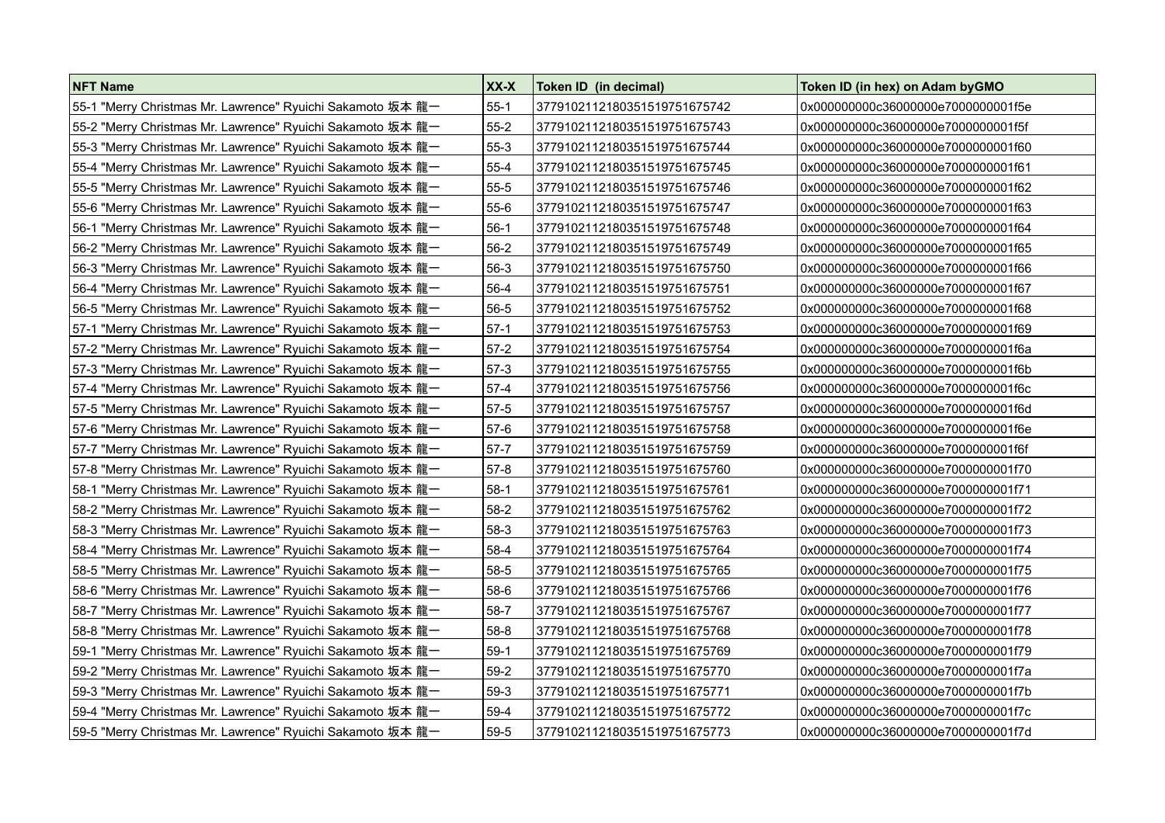| <b>NFT Name</b>                                            | XX-X     | Token ID (in decimal)        | Token ID (in hex) on Adam byGMO     |
|------------------------------------------------------------|----------|------------------------------|-------------------------------------|
| 55-1 "Merry Christmas Mr. Lawrence" Ryuichi Sakamoto 坂本 龍一 | $55 - 1$ | 3779102112180351519751675742 | 0x000000000c36000000e7000000001f5e  |
| 55-2 "Merry Christmas Mr. Lawrence" Ryuichi Sakamoto 坂本 龍一 | 55-2     | 3779102112180351519751675743 | 0x000000000c36000000e7000000001f5f  |
| 55-3 "Merry Christmas Mr. Lawrence" Ryuichi Sakamoto 坂本 龍一 | $55-3$   | 3779102112180351519751675744 | 0x000000000c36000000e7000000001f60  |
| 55-4 "Merry Christmas Mr. Lawrence" Ryuichi Sakamoto 坂本 龍一 | $55 - 4$ | 3779102112180351519751675745 | 0x000000000c36000000e7000000001f61  |
| 55-5 "Merry Christmas Mr. Lawrence" Ryuichi Sakamoto 坂本 龍一 | $55 - 5$ | 3779102112180351519751675746 | 0x000000000c36000000e7000000001f62  |
| 55-6 "Merry Christmas Mr. Lawrence" Ryuichi Sakamoto 坂本 龍一 | 55-6     | 3779102112180351519751675747 | 0x000000000c36000000e7000000001f63  |
| 56-1 "Merry Christmas Mr. Lawrence" Ryuichi Sakamoto 坂本 龍一 | $56-1$   | 3779102112180351519751675748 | 0x000000000c36000000e70000000001f64 |
| 56-2 "Merry Christmas Mr. Lawrence" Ryuichi Sakamoto 坂本 龍一 | $56-2$   | 3779102112180351519751675749 | 0x000000000c36000000e7000000001f65  |
| 56-3 "Merry Christmas Mr. Lawrence" Ryuichi Sakamoto 坂本 龍一 | $56-3$   | 3779102112180351519751675750 | 0x000000000c36000000e7000000001f66  |
| 56-4 "Merry Christmas Mr. Lawrence" Ryuichi Sakamoto 坂本 龍一 | 56-4     | 3779102112180351519751675751 | 0x000000000c36000000e7000000001f67  |
| 56-5 "Merry Christmas Mr. Lawrence" Ryuichi Sakamoto 坂本 龍一 | $56 - 5$ | 3779102112180351519751675752 | 0x000000000c36000000e7000000001f68  |
| 57-1 "Merry Christmas Mr. Lawrence" Ryuichi Sakamoto 坂本 龍一 | $57-1$   | 3779102112180351519751675753 | 0x000000000c36000000e7000000001f69  |
| 57-2 "Merry Christmas Mr. Lawrence" Ryuichi Sakamoto 坂本 龍一 | 57-2     | 3779102112180351519751675754 | 0x000000000c36000000e7000000001f6a  |
| 57-3 "Merry Christmas Mr. Lawrence" Ryuichi Sakamoto 坂本 龍一 | 57-3     | 3779102112180351519751675755 | 0x000000000c36000000e7000000001f6b  |
| 57-4 "Merry Christmas Mr. Lawrence" Ryuichi Sakamoto 坂本 龍一 | 57-4     | 3779102112180351519751675756 | 0x000000000c36000000e70000000001f6c |
| 57-5 "Merry Christmas Mr. Lawrence" Ryuichi Sakamoto 坂本 龍一 | 57-5     | 3779102112180351519751675757 | 0x000000000c36000000e7000000001f6d  |
| 57-6 "Merry Christmas Mr. Lawrence" Ryuichi Sakamoto 坂本 龍一 | 57-6     | 3779102112180351519751675758 | 0x000000000c36000000e7000000001f6e  |
| 57-7 "Merry Christmas Mr. Lawrence" Ryuichi Sakamoto 坂本 龍一 | 57-7     | 3779102112180351519751675759 | 0x000000000c36000000e7000000001f6f  |
| 57-8 "Merry Christmas Mr. Lawrence" Ryuichi Sakamoto 坂本 龍一 | 57-8     | 3779102112180351519751675760 | 0x000000000c36000000e7000000001f70  |
| 58-1 "Merry Christmas Mr. Lawrence" Ryuichi Sakamoto 坂本 龍一 | $58-1$   | 3779102112180351519751675761 | 0x000000000c36000000e7000000001f71  |
| 58-2 "Merry Christmas Mr. Lawrence" Ryuichi Sakamoto 坂本 龍一 | $58-2$   | 3779102112180351519751675762 | 0x000000000c36000000e70000000001f72 |
| 58-3 "Merry Christmas Mr. Lawrence" Ryuichi Sakamoto 坂本 龍一 | $58-3$   | 3779102112180351519751675763 | 0x000000000c36000000e70000000001f73 |
| 58-4 "Merry Christmas Mr. Lawrence" Ryuichi Sakamoto 坂本 龍一 | 58-4     | 3779102112180351519751675764 | 0x000000000c36000000e70000000001f74 |
| 58-5 "Merry Christmas Mr. Lawrence" Ryuichi Sakamoto 坂本 龍一 | 58-5     | 3779102112180351519751675765 | 0x000000000c36000000e7000000001f75  |
| 58-6 "Merry Christmas Mr. Lawrence" Ryuichi Sakamoto 坂本 龍一 | $58-6$   | 3779102112180351519751675766 | 0x000000000c36000000e7000000001f76  |
| 58-7 "Merry Christmas Mr. Lawrence" Ryuichi Sakamoto 坂本 龍一 | 58-7     | 3779102112180351519751675767 | 0x000000000c36000000e7000000001f77  |
| 58-8 "Merry Christmas Mr. Lawrence" Ryuichi Sakamoto 坂本 龍一 | $58 - 8$ | 3779102112180351519751675768 | 0x000000000c36000000e7000000001f78  |
| 59-1 "Merry Christmas Mr. Lawrence" Ryuichi Sakamoto 坂本 龍一 | $59-1$   | 3779102112180351519751675769 | 0x000000000c36000000e7000000001f79  |
| 59-2 "Merry Christmas Mr. Lawrence" Ryuichi Sakamoto 坂本 龍一 | $59-2$   | 3779102112180351519751675770 | 0x000000000c36000000e7000000001f7a  |
| 59-3 "Merry Christmas Mr. Lawrence" Ryuichi Sakamoto 坂本 龍一 | 59-3     | 3779102112180351519751675771 | 0x000000000c36000000e7000000001f7b  |
| 59-4 "Merry Christmas Mr. Lawrence" Ryuichi Sakamoto 坂本 龍一 | $59-4$   | 3779102112180351519751675772 | 0x000000000c36000000e7000000001f7c  |
| 59-5 "Merry Christmas Mr. Lawrence" Ryuichi Sakamoto 坂本 龍一 | 59-5     | 3779102112180351519751675773 | 0x000000000c36000000e7000000001f7d  |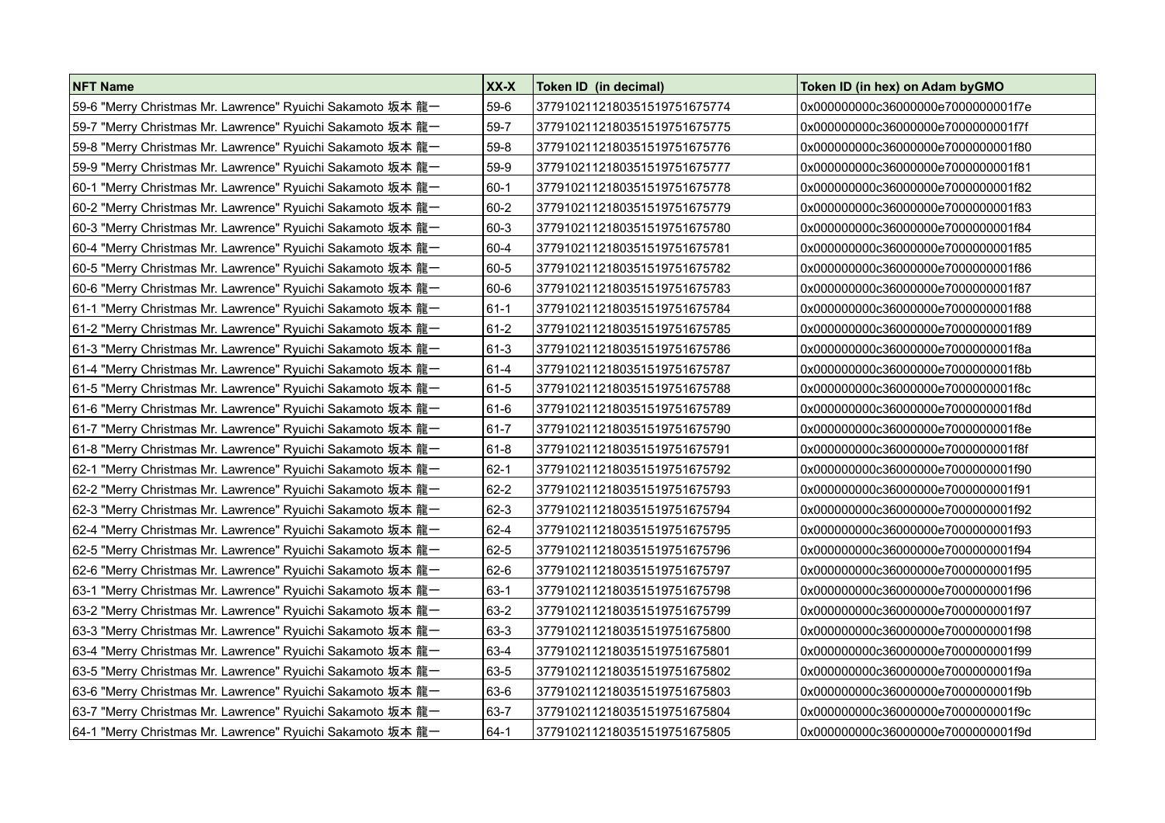| <b>NFT Name</b>                                            | XX-X     | Token ID (in decimal)        | Token ID (in hex) on Adam byGMO     |
|------------------------------------------------------------|----------|------------------------------|-------------------------------------|
| 59-6 "Merry Christmas Mr. Lawrence" Ryuichi Sakamoto 坂本 龍一 | 59-6     | 3779102112180351519751675774 | 0x000000000c36000000e7000000001f7e  |
| 59-7 "Merry Christmas Mr. Lawrence" Ryuichi Sakamoto 坂本 龍一 | 59-7     | 3779102112180351519751675775 | 0x000000000c36000000e7000000001f7f  |
| 59-8 "Merry Christmas Mr. Lawrence" Ryuichi Sakamoto 坂本 龍一 | 59-8     | 3779102112180351519751675776 | 0x000000000c36000000e7000000001f80  |
| 59-9 "Merry Christmas Mr. Lawrence" Ryuichi Sakamoto 坂本 龍一 | 59-9     | 3779102112180351519751675777 | 0x000000000c36000000e7000000001f81  |
| 60-1 "Merry Christmas Mr. Lawrence" Ryuichi Sakamoto 坂本 龍一 | 60-1     | 3779102112180351519751675778 | 0x000000000c36000000e7000000001f82  |
| 60-2 "Merry Christmas Mr. Lawrence" Ryuichi Sakamoto 坂本 龍一 | 60-2     | 3779102112180351519751675779 | 0x000000000c36000000e7000000001f83  |
| 60-3 "Merry Christmas Mr. Lawrence" Ryuichi Sakamoto 坂本 龍一 | $60 - 3$ | 3779102112180351519751675780 | 0x000000000c36000000e7000000001f84  |
| 60-4 "Merry Christmas Mr. Lawrence" Ryuichi Sakamoto 坂本 龍一 | $60 - 4$ | 3779102112180351519751675781 | 0x000000000c36000000e7000000001f85  |
| 60-5 "Merry Christmas Mr. Lawrence" Ryuichi Sakamoto 坂本 龍一 | $60 - 5$ | 3779102112180351519751675782 | 0x000000000c36000000e7000000001f86  |
| 60-6 "Merry Christmas Mr. Lawrence" Ryuichi Sakamoto 坂本 龍一 | 60-6     | 3779102112180351519751675783 | 0x000000000c36000000e7000000001f87  |
| 61-1 "Merry Christmas Mr. Lawrence" Ryuichi Sakamoto 坂本 龍一 | $ 61-1$  | 3779102112180351519751675784 | 0x000000000c36000000e7000000001f88  |
| 61-2 "Merry Christmas Mr. Lawrence" Ryuichi Sakamoto 坂本 龍一 | 61-2     | 3779102112180351519751675785 | 0x000000000c36000000e7000000001f89  |
| 61-3 "Merry Christmas Mr. Lawrence" Ryuichi Sakamoto 坂本 龍一 | 61-3     | 3779102112180351519751675786 | 0x000000000c36000000e7000000001f8a  |
| 61-4 "Merry Christmas Mr. Lawrence" Ryuichi Sakamoto 坂本 龍一 | 61-4     | 3779102112180351519751675787 | 0x000000000c36000000e7000000001f8b  |
| 61-5 "Merry Christmas Mr. Lawrence" Ryuichi Sakamoto 坂本 龍一 | 61-5     | 3779102112180351519751675788 | 0x000000000c36000000e70000000001f8c |
| 61-6 "Merry Christmas Mr. Lawrence" Ryuichi Sakamoto 坂本 龍一 | 61-6     | 3779102112180351519751675789 | 0x000000000c36000000e7000000001f8d  |
| 61-7 "Merry Christmas Mr. Lawrence" Ryuichi Sakamoto 坂本 龍一 | $61 - 7$ | 3779102112180351519751675790 | 0x000000000c36000000e7000000001f8e  |
| 61-8 "Merry Christmas Mr. Lawrence" Ryuichi Sakamoto 坂本 龍一 | 61-8     | 3779102112180351519751675791 | 0x000000000c36000000e7000000001f8f  |
| 62-1 "Merry Christmas Mr. Lawrence" Ryuichi Sakamoto 坂本 龍一 | $62 - 1$ | 3779102112180351519751675792 | 0x000000000c36000000e7000000001f90  |
| 62-2 "Merry Christmas Mr. Lawrence" Ryuichi Sakamoto 坂本 龍一 | 62-2     | 3779102112180351519751675793 | 0x000000000c36000000e70000000001f91 |
| 62-3 "Merry Christmas Mr. Lawrence" Ryuichi Sakamoto 坂本 龍一 | $62 - 3$ | 3779102112180351519751675794 | 0x000000000c36000000e7000000001f92  |
| 62-4 "Merry Christmas Mr. Lawrence" Ryuichi Sakamoto 坂本 龍一 | 62-4     | 3779102112180351519751675795 | 0x000000000c36000000e7000000001f93  |
| 62-5 "Merry Christmas Mr. Lawrence" Ryuichi Sakamoto 坂本 龍一 | 62-5     | 3779102112180351519751675796 | 0x000000000c36000000e70000000001f94 |
| 62-6 "Merry Christmas Mr. Lawrence" Ryuichi Sakamoto 坂本 龍一 | 62-6     | 3779102112180351519751675797 | 0x000000000c36000000e7000000001f95  |
| 63-1 "Merry Christmas Mr. Lawrence" Ryuichi Sakamoto 坂本 龍一 | 63-1     | 3779102112180351519751675798 | 0x000000000c36000000e7000000001f96  |
| 63-2 "Merry Christmas Mr. Lawrence" Ryuichi Sakamoto 坂本 龍一 | 63-2     | 3779102112180351519751675799 | 0x000000000c36000000e7000000001f97  |
| 63-3 "Merry Christmas Mr. Lawrence" Ryuichi Sakamoto 坂本 龍一 | 63-3     | 3779102112180351519751675800 | 0x000000000c36000000e7000000001f98  |
| 63-4 "Merry Christmas Mr. Lawrence" Ryuichi Sakamoto 坂本 龍一 | 63-4     | 3779102112180351519751675801 | 0x000000000c36000000e7000000001f99  |
| 63-5 "Merry Christmas Mr. Lawrence" Ryuichi Sakamoto 坂本 龍一 | 63-5     | 3779102112180351519751675802 | 0x000000000c36000000e7000000001f9a  |
| 63-6 "Merry Christmas Mr. Lawrence" Ryuichi Sakamoto 坂本 龍一 | 63-6     | 3779102112180351519751675803 | 0x000000000c36000000e7000000001f9b  |
| 63-7 "Merry Christmas Mr. Lawrence" Ryuichi Sakamoto 坂本 龍一 | 63-7     | 3779102112180351519751675804 | 0x000000000c36000000e7000000001f9c  |
| 64-1 "Merry Christmas Mr. Lawrence" Ryuichi Sakamoto 坂本 龍一 | $64-1$   | 3779102112180351519751675805 | 0x000000000c36000000e7000000001f9d  |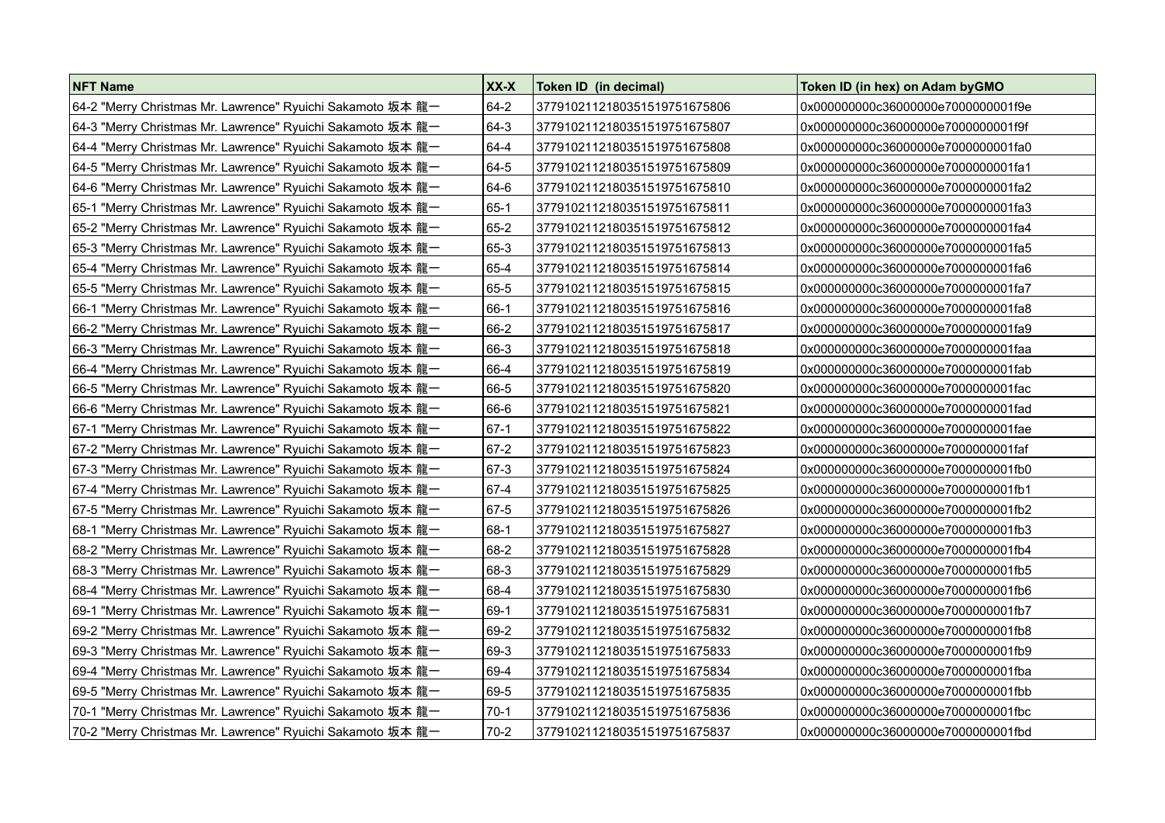| <b>NFT Name</b>                                            | XX-X     | Token ID (in decimal)        | Token ID (in hex) on Adam byGMO     |
|------------------------------------------------------------|----------|------------------------------|-------------------------------------|
| 64-2 "Merry Christmas Mr. Lawrence" Ryuichi Sakamoto 坂本 龍一 | 64-2     | 3779102112180351519751675806 | 0x000000000c36000000e7000000001f9e  |
| 64-3 "Merry Christmas Mr. Lawrence" Ryuichi Sakamoto 坂本 龍一 | 64-3     | 3779102112180351519751675807 | 0x000000000c36000000e7000000001f9f  |
| 64-4 "Merry Christmas Mr. Lawrence" Ryuichi Sakamoto 坂本 龍一 | 64-4     | 3779102112180351519751675808 | 0x000000000c36000000e7000000001fa0  |
| 64-5 "Merry Christmas Mr. Lawrence" Ryuichi Sakamoto 坂本 龍一 | 64-5     | 3779102112180351519751675809 | 0x000000000c36000000e7000000001fa1  |
| 64-6 "Merry Christmas Mr. Lawrence" Ryuichi Sakamoto 坂本 龍一 | 64-6     | 3779102112180351519751675810 | 0x000000000c36000000e7000000001fa2  |
| 65-1 "Merry Christmas Mr. Lawrence" Ryuichi Sakamoto 坂本 龍一 | $65-1$   | 3779102112180351519751675811 | 0x000000000c36000000e70000000001fa3 |
| 65-2 "Merry Christmas Mr. Lawrence" Ryuichi Sakamoto 坂本 龍一 | 65-2     | 3779102112180351519751675812 | 0x000000000c36000000e7000000001fa4  |
| 65-3 "Merry Christmas Mr. Lawrence" Ryuichi Sakamoto 坂本 龍一 | 65-3     | 3779102112180351519751675813 | 0x000000000c36000000e70000000001fa5 |
| 65-4 "Merry Christmas Mr. Lawrence" Ryuichi Sakamoto 坂本 龍一 | 65-4     | 3779102112180351519751675814 | 0x000000000c36000000e7000000001fa6  |
| 65-5 "Merry Christmas Mr. Lawrence" Ryuichi Sakamoto 坂本 龍一 | 65-5     | 3779102112180351519751675815 | 0x000000000c36000000e7000000001fa7  |
| 66-1 "Merry Christmas Mr. Lawrence" Ryuichi Sakamoto 坂本 龍一 | $66-1$   | 3779102112180351519751675816 | 0x000000000c36000000e7000000001fa8  |
| 66-2 "Merry Christmas Mr. Lawrence" Ryuichi Sakamoto 坂本 龍一 | 66-2     | 3779102112180351519751675817 | 0x000000000c36000000e7000000001fa9  |
| 66-3 "Merry Christmas Mr. Lawrence" Ryuichi Sakamoto 坂本 龍一 | 66-3     | 3779102112180351519751675818 | 0x000000000c36000000e7000000001faa  |
| 66-4 "Merry Christmas Mr. Lawrence" Ryuichi Sakamoto 坂本 龍一 | 66-4     | 3779102112180351519751675819 | 0x000000000c36000000e7000000001fab  |
| 66-5 "Merry Christmas Mr. Lawrence" Ryuichi Sakamoto 坂本 龍一 | 66-5     | 3779102112180351519751675820 | 0x000000000c36000000e70000000001fac |
| 66-6 "Merry Christmas Mr. Lawrence" Ryuichi Sakamoto 坂本 龍一 | 66-6     | 3779102112180351519751675821 | 0x000000000c36000000e7000000001fad  |
| 67-1 "Merry Christmas Mr. Lawrence" Ryuichi Sakamoto 坂本 龍一 | $67-1$   | 3779102112180351519751675822 | 0x000000000c36000000e7000000001fae  |
| 67-2 "Merry Christmas Mr. Lawrence" Ryuichi Sakamoto 坂本 龍一 | 67-2     | 3779102112180351519751675823 | 0x000000000c36000000e7000000001faf  |
| 67-3 "Merry Christmas Mr. Lawrence" Ryuichi Sakamoto 坂本 龍一 | 67-3     | 3779102112180351519751675824 | 0x000000000c36000000e7000000001fb0  |
| 67-4 "Merry Christmas Mr. Lawrence" Ryuichi Sakamoto 坂本 龍一 | 67-4     | 3779102112180351519751675825 | 0x000000000c36000000e7000000001fb1  |
| 67-5 "Merry Christmas Mr. Lawrence" Ryuichi Sakamoto 坂本 龍一 | $67 - 5$ | 3779102112180351519751675826 | 0x000000000c36000000e70000000001fb2 |
| 68-1 "Merry Christmas Mr. Lawrence" Ryuichi Sakamoto 坂本 龍一 | $68-1$   | 3779102112180351519751675827 | 0x000000000c36000000e7000000001fb3  |
| 68-2 "Merry Christmas Mr. Lawrence" Ryuichi Sakamoto 坂本 龍一 | 68-2     | 3779102112180351519751675828 | 0x000000000c36000000e7000000001fb4  |
| 68-3 "Merry Christmas Mr. Lawrence" Ryuichi Sakamoto 坂本 龍一 | 68-3     | 3779102112180351519751675829 | 0x000000000c36000000e7000000001fb5  |
| 68-4 "Merry Christmas Mr. Lawrence" Ryuichi Sakamoto 坂本 龍一 | 68-4     | 3779102112180351519751675830 | 0x000000000c36000000e7000000001fb6  |
| 69-1 "Merry Christmas Mr. Lawrence" Ryuichi Sakamoto 坂本 龍一 | 69-1     | 3779102112180351519751675831 | 0x000000000c36000000e70000000001fb7 |
| 69-2 "Merry Christmas Mr. Lawrence" Ryuichi Sakamoto 坂本 龍一 | 69-2     | 3779102112180351519751675832 | 0x000000000c36000000e7000000001fb8  |
| 69-3 "Merry Christmas Mr. Lawrence" Ryuichi Sakamoto 坂本 龍一 | 69-3     | 3779102112180351519751675833 | 0x000000000c36000000e7000000001fb9  |
| 69-4 "Merry Christmas Mr. Lawrence" Ryuichi Sakamoto 坂本 龍一 | 69-4     | 3779102112180351519751675834 | 0x000000000c36000000e7000000001fba  |
| 69-5 "Merry Christmas Mr. Lawrence" Ryuichi Sakamoto 坂本 龍一 | 69-5     | 3779102112180351519751675835 | 0x000000000c36000000e70000000001fbb |
| 70-1 "Merry Christmas Mr. Lawrence" Ryuichi Sakamoto 坂本 龍一 | $70-1$   | 3779102112180351519751675836 | 0x000000000c36000000e7000000001fbc  |
| 70-2 "Merry Christmas Mr. Lawrence" Ryuichi Sakamoto 坂本 龍一 | $70-2$   | 3779102112180351519751675837 | 0x000000000c36000000e70000000001fbd |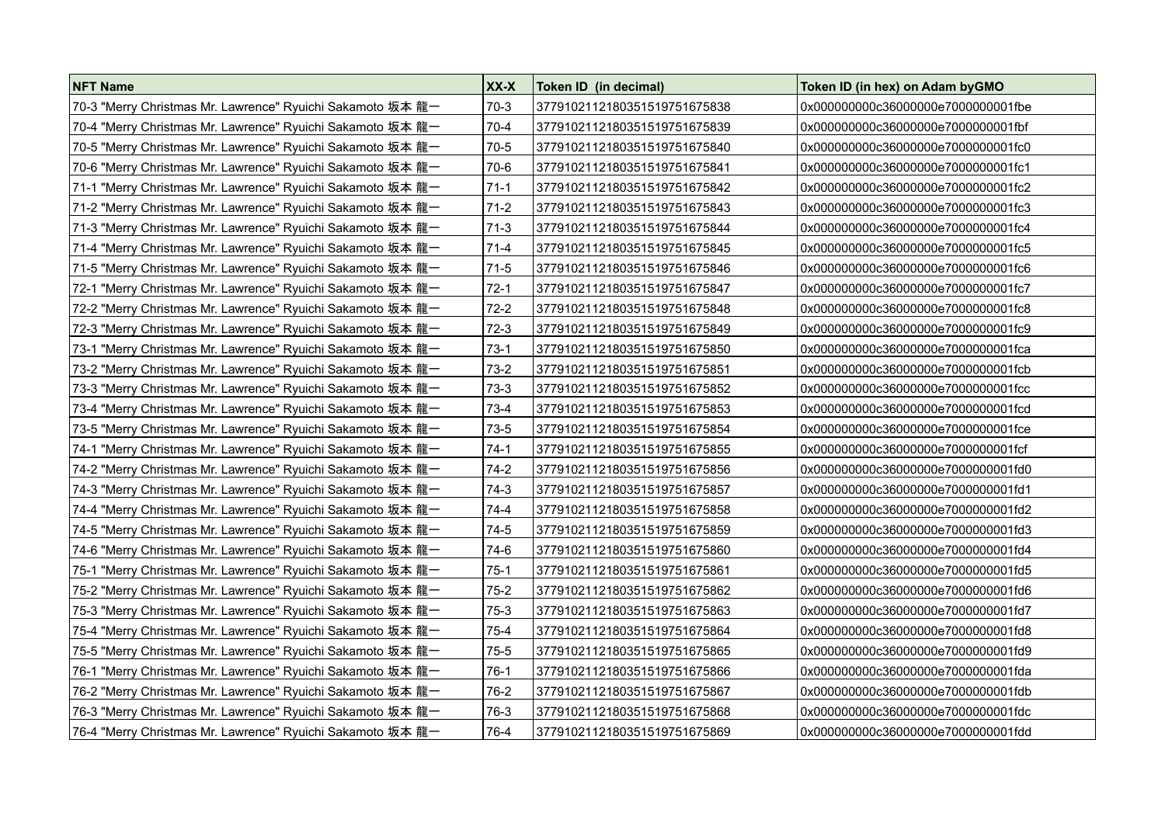| <b>NFT Name</b>                                            | XX-X     | Token ID (in decimal)        | Token ID (in hex) on Adam by GMO    |
|------------------------------------------------------------|----------|------------------------------|-------------------------------------|
| 70-3 "Merry Christmas Mr. Lawrence" Ryuichi Sakamoto 坂本 龍一 | 70-3     | 3779102112180351519751675838 | 0x000000000c36000000e7000000001fbe  |
| 70-4 "Merry Christmas Mr. Lawrence" Ryuichi Sakamoto 坂本 龍一 | 70-4     | 3779102112180351519751675839 | 0x000000000c36000000e7000000001fbf  |
| 70-5 "Merry Christmas Mr. Lawrence" Ryuichi Sakamoto 坂本 龍一 | 70-5     | 3779102112180351519751675840 | 0x000000000c36000000e7000000001fc0  |
| 70-6 "Merry Christmas Mr. Lawrence" Ryuichi Sakamoto 坂本 龍一 | 70-6     | 3779102112180351519751675841 | 0x000000000c36000000e7000000001fc1  |
| 71-1 "Merry Christmas Mr. Lawrence" Ryuichi Sakamoto 坂本 龍一 | $71-1$   | 3779102112180351519751675842 | 0x000000000c36000000e70000000001fc2 |
| 71-2 "Merry Christmas Mr. Lawrence" Ryuichi Sakamoto 坂本 龍一 | 71-2     | 3779102112180351519751675843 | 0x000000000c36000000e70000000001fc3 |
| 71-3 "Merry Christmas Mr. Lawrence" Ryuichi Sakamoto 坂本 龍一 | $71-3$   | 3779102112180351519751675844 | 0x000000000c36000000e70000000001fc4 |
| 71-4 "Merry Christmas Mr. Lawrence" Ryuichi Sakamoto 坂本 龍一 | 71-4     | 3779102112180351519751675845 | 0x000000000c36000000e70000000001fc5 |
| 71-5 "Merry Christmas Mr. Lawrence" Ryuichi Sakamoto 坂本 龍一 | $71-5$   | 3779102112180351519751675846 | 0x000000000c36000000e7000000001fc6  |
| 72-1 "Merry Christmas Mr. Lawrence" Ryuichi Sakamoto 坂本 龍一 | $72-1$   | 3779102112180351519751675847 | 0x000000000c36000000e7000000001fc7  |
| 72-2 "Merry Christmas Mr. Lawrence" Ryuichi Sakamoto 坂本 龍一 | $72-2$   | 3779102112180351519751675848 | 0x000000000c36000000e7000000001fc8  |
| 72-3 "Merry Christmas Mr. Lawrence" Ryuichi Sakamoto 坂本 龍一 | $72-3$   | 3779102112180351519751675849 | 0x000000000c36000000e7000000001fc9  |
| 73-1 "Merry Christmas Mr. Lawrence" Ryuichi Sakamoto 坂本 龍一 | $73-1$   | 3779102112180351519751675850 | 0x000000000c36000000e7000000001fca  |
| 73-2 "Merry Christmas Mr. Lawrence" Ryuichi Sakamoto 坂本 龍一 | $73-2$   | 3779102112180351519751675851 | 0x000000000c36000000e7000000001fcb  |
| 73-3 "Merry Christmas Mr. Lawrence" Ryuichi Sakamoto 坂本 龍一 | $73-3$   | 3779102112180351519751675852 | 0x000000000c36000000e70000000001fcc |
| 73-4 "Merry Christmas Mr. Lawrence" Ryuichi Sakamoto 坂本 龍一 | $73-4$   | 3779102112180351519751675853 | 0x000000000c36000000e7000000001fcd  |
| 73-5 "Merry Christmas Mr. Lawrence" Ryuichi Sakamoto 坂本 龍一 | $73-5$   | 3779102112180351519751675854 | 0x000000000c36000000e7000000001fce  |
| 74-1 "Merry Christmas Mr. Lawrence" Ryuichi Sakamoto 坂本 龍一 | $74-1$   | 3779102112180351519751675855 | 0x000000000c36000000e7000000001fcf  |
| 74-2 "Merry Christmas Mr. Lawrence" Ryuichi Sakamoto 坂本 龍一 | $74-2$   | 3779102112180351519751675856 | 0x000000000c36000000e7000000001fd0  |
| 74-3 "Merry Christmas Mr. Lawrence" Ryuichi Sakamoto 坂本 龍一 | $74-3$   | 3779102112180351519751675857 | 0x000000000c36000000e70000000001fd1 |
| 74-4 "Merry Christmas Mr. Lawrence" Ryuichi Sakamoto 坂本 龍一 | 74-4     | 3779102112180351519751675858 | 0x000000000c36000000e7000000001fd2  |
| 74-5 "Merry Christmas Mr. Lawrence" Ryuichi Sakamoto 坂本 龍一 | 74-5     | 3779102112180351519751675859 | 0x000000000c36000000e70000000001fd3 |
| 74-6 "Merry Christmas Mr. Lawrence" Ryuichi Sakamoto 坂本 龍一 | 74-6     | 3779102112180351519751675860 | 0x000000000c36000000e7000000001fd4  |
| 75-1 "Merry Christmas Mr. Lawrence" Ryuichi Sakamoto 坂本 龍一 | $75-1$   | 3779102112180351519751675861 | 0x000000000c36000000e7000000001fd5  |
| 75-2 "Merry Christmas Mr. Lawrence" Ryuichi Sakamoto 坂本 龍一 | $75-2$   | 3779102112180351519751675862 | 0x000000000c36000000e7000000001fd6  |
| 75-3 "Merry Christmas Mr. Lawrence" Ryuichi Sakamoto 坂本 龍一 | $75-3$   | 3779102112180351519751675863 | 0x000000000c36000000e7000000001fd7  |
| 75-4 "Merry Christmas Mr. Lawrence" Ryuichi Sakamoto 坂本 龍一 | $75 - 4$ | 3779102112180351519751675864 | 0x000000000c36000000e7000000001fd8  |
| 75-5 "Merry Christmas Mr. Lawrence" Ryuichi Sakamoto 坂本 龍一 | 75-5     | 3779102112180351519751675865 | 0x000000000c36000000e7000000001fd9  |
| 76-1 "Merry Christmas Mr. Lawrence" Ryuichi Sakamoto 坂本 龍一 | $76-1$   | 3779102112180351519751675866 | 0x000000000c36000000e7000000001fda  |
| 76-2 "Merry Christmas Mr. Lawrence" Ryuichi Sakamoto 坂本 龍一 | 76-2     | 3779102112180351519751675867 | 0x000000000c36000000e70000000001fdb |
| 76-3 "Merry Christmas Mr. Lawrence" Ryuichi Sakamoto 坂本 龍一 | 76-3     | 3779102112180351519751675868 | 0x000000000c36000000e7000000001fdc  |
| 76-4 "Merry Christmas Mr. Lawrence" Ryuichi Sakamoto 坂本龍一  | 76-4     | 3779102112180351519751675869 | 0x000000000c36000000e70000000001fdd |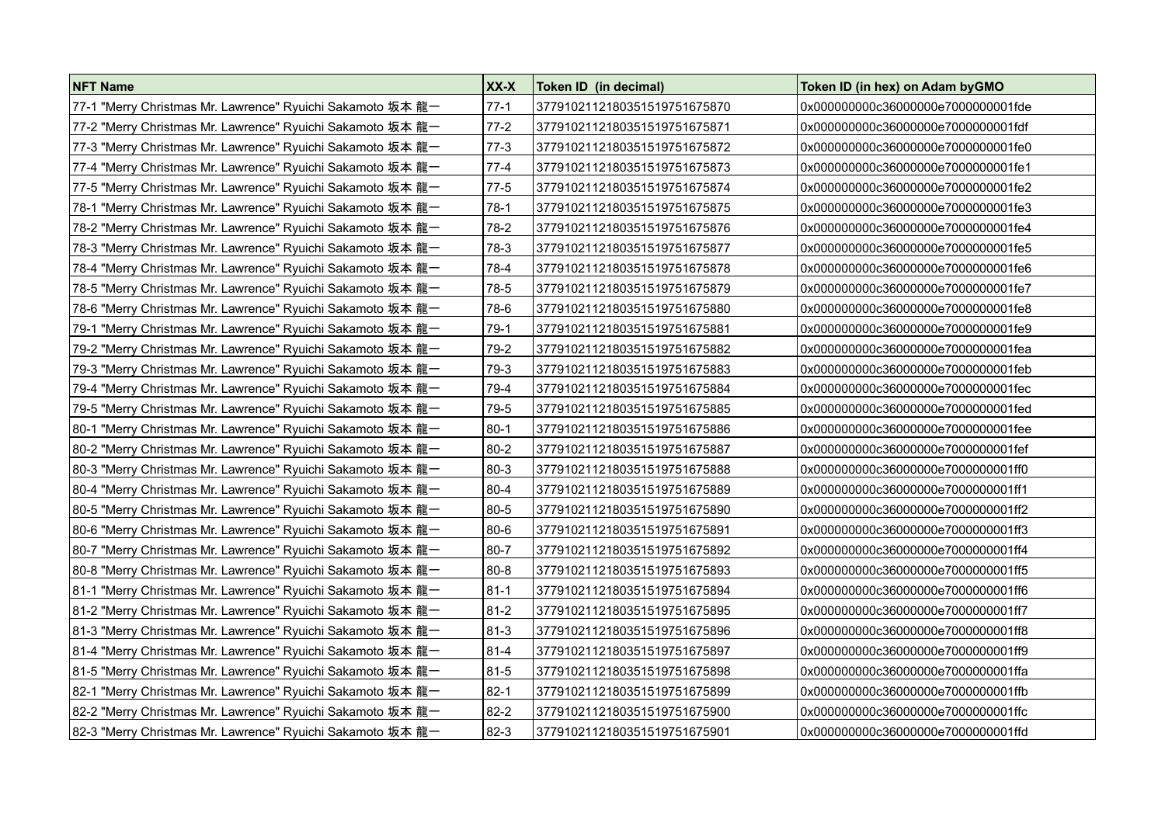| <b>NFT Name</b>                                            | XX-X     | Token ID (in decimal)        | Token ID (in hex) on Adam byGMO     |
|------------------------------------------------------------|----------|------------------------------|-------------------------------------|
| 77-1 "Merry Christmas Mr. Lawrence" Ryuichi Sakamoto 坂本 龍一 | $77-1$   | 3779102112180351519751675870 | 0x000000000c36000000e7000000001fde  |
| 77-2 "Merry Christmas Mr. Lawrence" Ryuichi Sakamoto 坂本 龍一 | $77-2$   | 3779102112180351519751675871 | 0x000000000c36000000e7000000001fdf  |
| 77-3 "Merry Christmas Mr. Lawrence" Ryuichi Sakamoto 坂本 龍一 | $77-3$   | 3779102112180351519751675872 | 0x000000000c36000000e7000000001fe0  |
| 77-4 "Merry Christmas Mr. Lawrence" Ryuichi Sakamoto 坂本 龍一 | $77-4$   | 3779102112180351519751675873 | 0x000000000c36000000e7000000001fe1  |
| 77-5 "Merry Christmas Mr. Lawrence" Ryuichi Sakamoto 坂本 龍一 | $77-5$   | 3779102112180351519751675874 | 0x000000000c36000000e7000000001fe2  |
| 78-1 "Merry Christmas Mr. Lawrence" Ryuichi Sakamoto 坂本 龍一 | $78-1$   | 3779102112180351519751675875 | 0x000000000c36000000e70000000001fe3 |
| 78-2 "Merry Christmas Mr. Lawrence" Ryuichi Sakamoto 坂本 龍一 | $78-2$   | 3779102112180351519751675876 | 0x000000000c36000000e70000000001fe4 |
| 78-3 "Merry Christmas Mr. Lawrence" Ryuichi Sakamoto 坂本 龍一 | 78-3     | 3779102112180351519751675877 | 0x000000000c36000000e7000000001fe5  |
| 78-4 "Merry Christmas Mr. Lawrence" Ryuichi Sakamoto 坂本 龍一 | 78-4     | 3779102112180351519751675878 | 0x000000000c36000000e7000000001fe6  |
| 78-5 "Merry Christmas Mr. Lawrence" Ryuichi Sakamoto 坂本 龍一 | 78-5     | 3779102112180351519751675879 | 0x000000000c36000000e7000000001fe7  |
| 78-6 "Merry Christmas Mr. Lawrence" Ryuichi Sakamoto 坂本 龍一 | 78-6     | 3779102112180351519751675880 | 0x000000000c36000000e7000000001fe8  |
| 79-1 "Merry Christmas Mr. Lawrence" Ryuichi Sakamoto 坂本 龍一 | $79-1$   | 3779102112180351519751675881 | 0x000000000c36000000e7000000001fe9  |
| 79-2 "Merry Christmas Mr. Lawrence" Ryuichi Sakamoto 坂本 龍一 | 79-2     | 3779102112180351519751675882 | 0x000000000c36000000e7000000001fea  |
| 79-3 "Merry Christmas Mr. Lawrence" Ryuichi Sakamoto 坂本 龍一 | 79-3     | 3779102112180351519751675883 | 0x000000000c36000000e7000000001feb  |
| 79-4 "Merry Christmas Mr. Lawrence" Ryuichi Sakamoto 坂本 龍一 | 79-4     | 3779102112180351519751675884 | 0x000000000c36000000e70000000001fec |
| 79-5 "Merry Christmas Mr. Lawrence" Ryuichi Sakamoto 坂本 龍一 | $79-5$   | 3779102112180351519751675885 | 0x000000000c36000000e7000000001fed  |
| 80-1 "Merry Christmas Mr. Lawrence" Ryuichi Sakamoto 坂本 龍一 | $80-1$   | 3779102112180351519751675886 | 0x000000000c36000000e7000000001fee  |
| 80-2 "Merry Christmas Mr. Lawrence" Ryuichi Sakamoto 坂本 龍一 | $80 - 2$ | 3779102112180351519751675887 | 0x000000000c36000000e7000000001fef  |
| 80-3 "Merry Christmas Mr. Lawrence" Ryuichi Sakamoto 坂本 龍一 | 80-3     | 3779102112180351519751675888 | 0x000000000c36000000e7000000001ff0  |
| 80-4 "Merry Christmas Mr. Lawrence" Ryuichi Sakamoto 坂本 龍一 | 80-4     | 3779102112180351519751675889 | 0x000000000c36000000e7000000001ff1  |
| 80-5 "Merry Christmas Mr. Lawrence" Ryuichi Sakamoto 坂本 龍一 | $80 - 5$ | 3779102112180351519751675890 | 0x000000000c36000000e7000000001ff2  |
| 80-6 "Merry Christmas Mr. Lawrence" Ryuichi Sakamoto 坂本 龍一 | $80 - 6$ | 3779102112180351519751675891 | 0x000000000c36000000e7000000001ff3  |
| 80-7 "Merry Christmas Mr. Lawrence" Ryuichi Sakamoto 坂本 龍一 | 80-7     | 3779102112180351519751675892 | 0x000000000c36000000e7000000001ff4  |
| 80-8 "Merry Christmas Mr. Lawrence" Ryuichi Sakamoto 坂本 龍一 | $80 - 8$ | 3779102112180351519751675893 | 0x000000000c36000000e7000000001ff5  |
| 81-1 "Merry Christmas Mr. Lawrence" Ryuichi Sakamoto 坂本 龍一 | $ 81-1$  | 3779102112180351519751675894 | 0x000000000c36000000e7000000001ff6  |
| 81-2 "Merry Christmas Mr. Lawrence" Ryuichi Sakamoto 坂本 龍一 | 81-2     | 3779102112180351519751675895 | 0x000000000c36000000e7000000001ff7  |
| 81-3 "Merry Christmas Mr. Lawrence" Ryuichi Sakamoto 坂本 龍一 | 81-3     | 3779102112180351519751675896 | 0x000000000c36000000e7000000001ff8  |
| 81-4 "Merry Christmas Mr. Lawrence" Ryuichi Sakamoto 坂本 龍一 | 81-4     | 3779102112180351519751675897 | 0x000000000c36000000e7000000001ff9  |
| 81-5 "Merry Christmas Mr. Lawrence" Ryuichi Sakamoto 坂本 龍一 | 81-5     | 3779102112180351519751675898 | 0x000000000c36000000e7000000001ffa  |
| 82-1 "Merry Christmas Mr. Lawrence" Ryuichi Sakamoto 坂本 龍一 | $82 - 1$ | 3779102112180351519751675899 | 0x000000000c36000000e7000000001ffb  |
| 82-2 "Merry Christmas Mr. Lawrence" Ryuichi Sakamoto 坂本 龍一 | 82-2     | 3779102112180351519751675900 | 0x000000000c36000000e7000000001ffc  |
| 82-3 "Merry Christmas Mr. Lawrence" Ryuichi Sakamoto 坂本 龍一 | 82-3     | 3779102112180351519751675901 | 0x000000000c36000000e7000000001ffd  |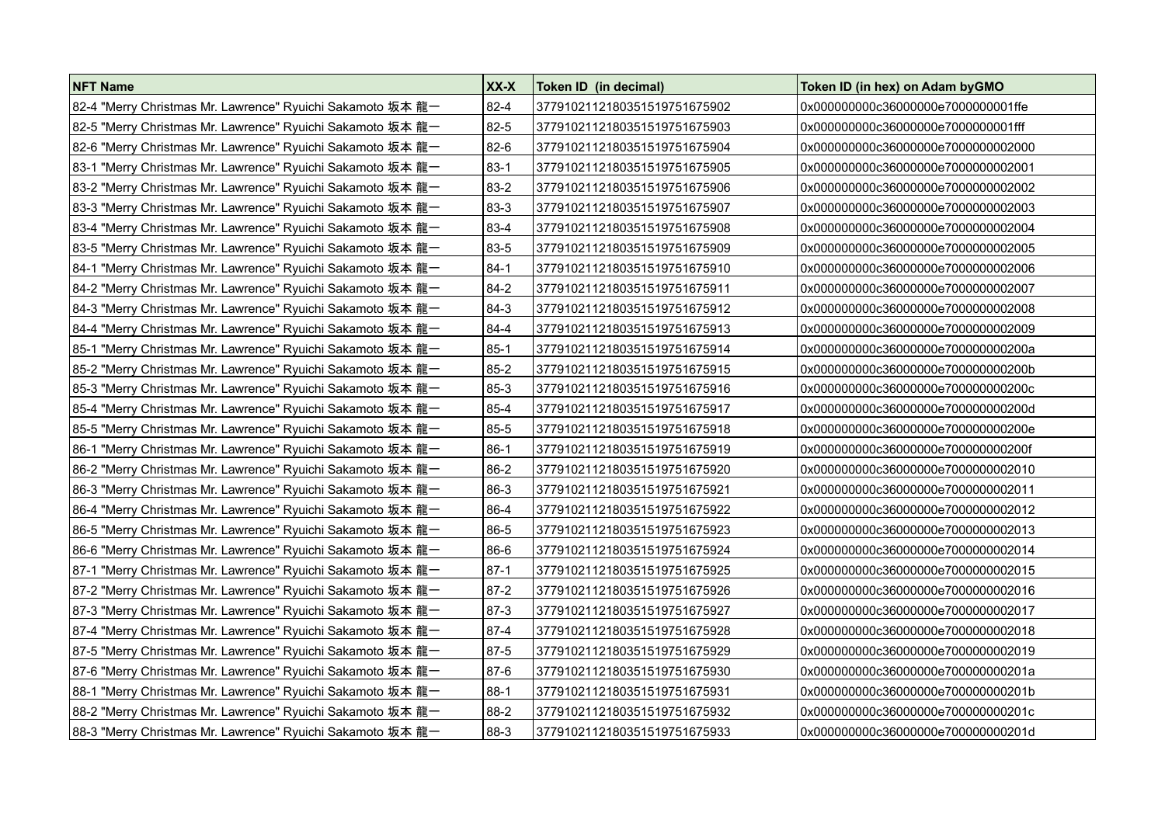| <b>NFT Name</b>                                            | XX-X     | Token ID (in decimal)        | Token ID (in hex) on Adam byGMO     |
|------------------------------------------------------------|----------|------------------------------|-------------------------------------|
| 82-4 "Merry Christmas Mr. Lawrence" Ryuichi Sakamoto 坂本 龍一 | $82 - 4$ | 3779102112180351519751675902 | 0x000000000c36000000e7000000001ffe  |
| 82-5 "Merry Christmas Mr. Lawrence" Ryuichi Sakamoto 坂本 龍一 | 82-5     | 3779102112180351519751675903 | 0x000000000c36000000e7000000001fff  |
| 82-6 "Merry Christmas Mr. Lawrence" Ryuichi Sakamoto 坂本 龍一 | $82-6$   | 3779102112180351519751675904 | 0x000000000c36000000e7000000002000  |
| 83-1 "Merry Christmas Mr. Lawrence" Ryuichi Sakamoto 坂本 龍一 | $83-1$   | 3779102112180351519751675905 | 0x000000000c36000000e7000000002001  |
| 83-2 "Merry Christmas Mr. Lawrence" Ryuichi Sakamoto 坂本 龍一 | 83-2     | 3779102112180351519751675906 | 0x000000000c36000000e7000000002002  |
| 83-3 "Merry Christmas Mr. Lawrence" Ryuichi Sakamoto 坂本 龍一 | 83-3     | 3779102112180351519751675907 | 0x000000000c36000000e7000000002003  |
| 83-4 "Merry Christmas Mr. Lawrence" Ryuichi Sakamoto 坂本 龍一 | 83-4     | 3779102112180351519751675908 | 0x000000000c36000000e7000000002004  |
| 83-5 "Merry Christmas Mr. Lawrence" Ryuichi Sakamoto 坂本 龍一 | 83-5     | 3779102112180351519751675909 | 0x000000000c36000000e7000000002005  |
| 84-1 "Merry Christmas Mr. Lawrence" Ryuichi Sakamoto 坂本 龍一 | $84-1$   | 3779102112180351519751675910 | 0x000000000c36000000e7000000002006  |
| 84-2 "Merry Christmas Mr. Lawrence" Ryuichi Sakamoto 坂本 龍一 | $84-2$   | 3779102112180351519751675911 | 0x000000000c36000000e7000000002007  |
| 84-3 "Merry Christmas Mr. Lawrence" Ryuichi Sakamoto 坂本 龍一 | $84-3$   | 3779102112180351519751675912 | 0x000000000c36000000e7000000002008  |
| 84-4 "Merry Christmas Mr. Lawrence" Ryuichi Sakamoto 坂本 龍一 | 84-4     | 3779102112180351519751675913 | 0x000000000c36000000e7000000002009  |
| 85-1 "Merry Christmas Mr. Lawrence" Ryuichi Sakamoto 坂本 龍一 | 85-1     | 3779102112180351519751675914 | 0x000000000c36000000e700000000200a  |
| 85-2 "Merry Christmas Mr. Lawrence" Ryuichi Sakamoto 坂本 龍一 | 85-2     | 3779102112180351519751675915 | 0x000000000c36000000e700000000200b  |
| 85-3 "Merry Christmas Mr. Lawrence" Ryuichi Sakamoto 坂本 龍一 | 85-3     | 3779102112180351519751675916 | 0x000000000c36000000e700000000200c  |
| 85-4 "Merry Christmas Mr. Lawrence" Ryuichi Sakamoto 坂本 龍一 | 85-4     | 3779102112180351519751675917 | 0x000000000c36000000e700000000200d  |
| 85-5 "Merry Christmas Mr. Lawrence" Ryuichi Sakamoto 坂本 龍一 | 85-5     | 3779102112180351519751675918 | 0x000000000c36000000e700000000200e  |
| 86-1 "Merry Christmas Mr. Lawrence" Ryuichi Sakamoto 坂本 龍一 | $86-1$   | 3779102112180351519751675919 | 0x000000000c36000000e700000000200f  |
| 86-2 "Merry Christmas Mr. Lawrence" Ryuichi Sakamoto 坂本 龍一 | 86-2     | 3779102112180351519751675920 | 0x000000000c36000000e7000000002010  |
| 86-3 "Merry Christmas Mr. Lawrence" Ryuichi Sakamoto 坂本 龍一 | 86-3     | 3779102112180351519751675921 | 0x000000000c36000000e70000000002011 |
| 86-4 "Merry Christmas Mr. Lawrence" Ryuichi Sakamoto 坂本 龍一 | 86-4     | 3779102112180351519751675922 | 0x000000000c36000000e7000000002012  |
| 86-5 "Merry Christmas Mr. Lawrence" Ryuichi Sakamoto 坂本 龍一 | 86-5     | 3779102112180351519751675923 | 0x000000000c36000000e7000000002013  |
| 86-6 "Merry Christmas Mr. Lawrence" Ryuichi Sakamoto 坂本 龍一 | 86-6     | 3779102112180351519751675924 | 0x000000000c36000000e7000000002014  |
| 87-1 "Merry Christmas Mr. Lawrence" Ryuichi Sakamoto 坂本 龍一 | $87-1$   | 3779102112180351519751675925 | 0x000000000c36000000e7000000002015  |
| 87-2 "Merry Christmas Mr. Lawrence" Ryuichi Sakamoto 坂本 龍一 | $87 - 2$ | 3779102112180351519751675926 | 0x000000000c36000000e7000000002016  |
| 87-3 "Merry Christmas Mr. Lawrence" Ryuichi Sakamoto 坂本 龍一 | 87-3     | 3779102112180351519751675927 | 0x000000000c36000000e7000000002017  |
| 87-4 "Merry Christmas Mr. Lawrence" Ryuichi Sakamoto 坂本 龍一 | 87-4     | 3779102112180351519751675928 | 0x000000000c36000000e7000000002018  |
| 87-5 "Merry Christmas Mr. Lawrence" Ryuichi Sakamoto 坂本 龍一 | 87-5     | 3779102112180351519751675929 | 0x000000000c36000000e7000000002019  |
| 87-6 "Merry Christmas Mr. Lawrence" Ryuichi Sakamoto 坂本 龍一 | 87-6     | 3779102112180351519751675930 | 0x000000000c36000000e700000000201a  |
| 88-1 "Merry Christmas Mr. Lawrence" Ryuichi Sakamoto 坂本 龍一 | 88-1     | 3779102112180351519751675931 | 0x000000000c36000000e700000000201b  |
| 88-2 "Merry Christmas Mr. Lawrence" Ryuichi Sakamoto 坂本 龍一 | 88-2     | 3779102112180351519751675932 | 0x000000000c36000000e700000000201c  |
| 88-3 "Merry Christmas Mr. Lawrence" Ryuichi Sakamoto 坂本 龍一 | 88-3     | 3779102112180351519751675933 | 0x000000000c36000000e700000000201d  |